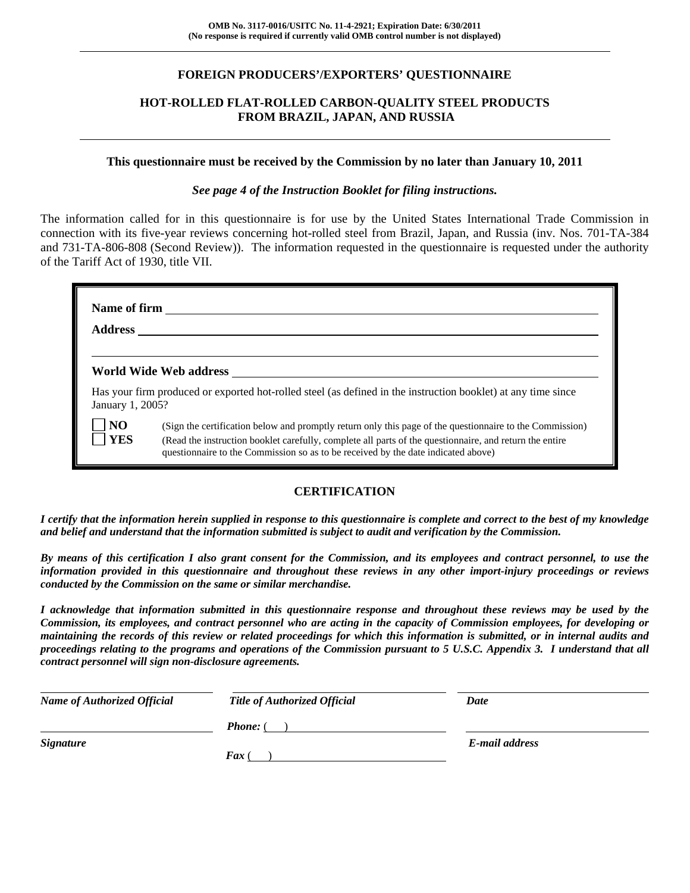### **FOREIGN PRODUCERS'/EXPORTERS' QUESTIONNAIRE**

### **HOT-ROLLED FLAT-ROLLED CARBON-QUALITY STEEL PRODUCTS FROM BRAZIL, JAPAN, AND RUSSIA**

### **This questionnaire must be received by the Commission by no later than January 10, 2011**

### *See page 4 of the Instruction Booklet for filing instructions.*

The information called for in this questionnaire is for use by the United States International Trade Commission in connection with its five-year reviews concerning hot-rolled steel from Brazil, Japan, and Russia (inv. Nos. 701-TA-384 and 731-TA-806-808 (Second Review)). The information requested in the questionnaire is requested under the authority of the Tariff Act of 1930, title VII.

| <b>Address</b>               | Name of firm                                                                                                                                                                                                                                                                                             |
|------------------------------|----------------------------------------------------------------------------------------------------------------------------------------------------------------------------------------------------------------------------------------------------------------------------------------------------------|
|                              | World Wide Web address                                                                                                                                                                                                                                                                                   |
| January 1, 2005?             | Has your firm produced or exported hot-rolled steel (as defined in the instruction booklet) at any time since                                                                                                                                                                                            |
| N <sub>O</sub><br><b>YES</b> | (Sign the certification below and promptly return only this page of the questionnaire to the Commission)<br>(Read the instruction booklet carefully, complete all parts of the questionnaire, and return the entire<br>questionnaire to the Commission so as to be received by the date indicated above) |

### **CERTIFICATION**

*I certify that the information herein supplied in response to this questionnaire is complete and correct to the best of my knowledge and belief and understand that the information submitted is subject to audit and verification by the Commission.* 

*By means of this certification I also grant consent for the Commission, and its employees and contract personnel, to use the information provided in this questionnaire and throughout these reviews in any other import-injury proceedings or reviews conducted by the Commission on the same or similar merchandise.* 

*I acknowledge that information submitted in this questionnaire response and throughout these reviews may be used by the Commission, its employees, and contract personnel who are acting in the capacity of Commission employees, for developing or maintaining the records of this review or related proceedings for which this information is submitted, or in internal audits and proceedings relating to the programs and operations of the Commission pursuant to 5 U.S.C. Appendix 3. I understand that all contract personnel will sign non-disclosure agreements.* 

| <b>Name of Authorized Official</b> | <b>Title of Authorized Official</b> | Date           |  |
|------------------------------------|-------------------------------------|----------------|--|
|                                    | <b>Phone:</b> (                     |                |  |
| <b>Signature</b>                   | <b>Fax</b> (                        | E-mail address |  |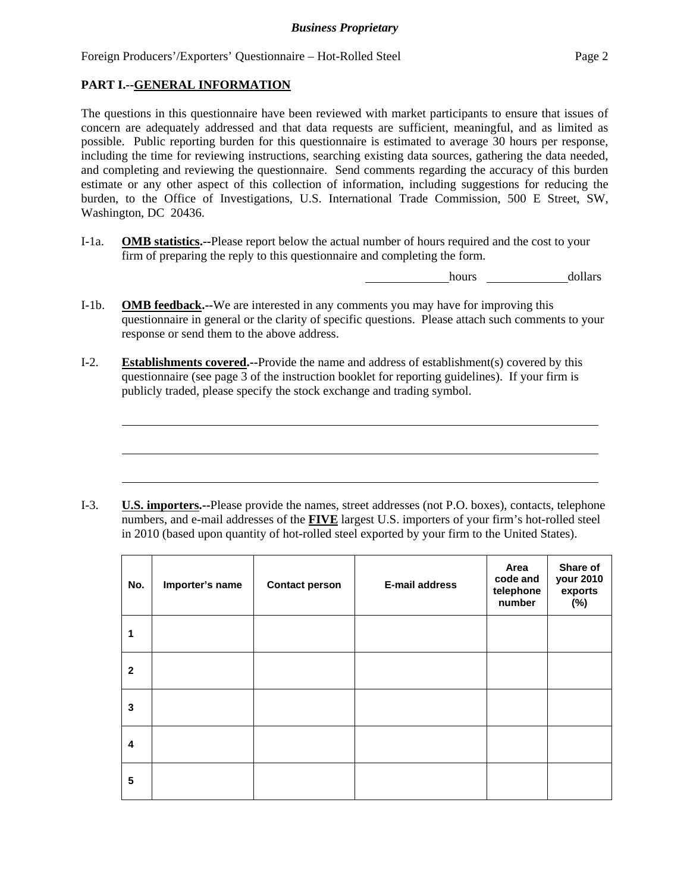### **PART I.--GENERAL INFORMATION**

 $\overline{a}$ 

The questions in this questionnaire have been reviewed with market participants to ensure that issues of concern are adequately addressed and that data requests are sufficient, meaningful, and as limited as possible. Public reporting burden for this questionnaire is estimated to average 30 hours per response, including the time for reviewing instructions, searching existing data sources, gathering the data needed, and completing and reviewing the questionnaire. Send comments regarding the accuracy of this burden estimate or any other aspect of this collection of information, including suggestions for reducing the burden, to the Office of Investigations, U.S. International Trade Commission, 500 E Street, SW, Washington, DC 20436.

I-1a. **OMB statistics.--**Please report below the actual number of hours required and the cost to your firm of preparing the reply to this questionnaire and completing the form.

hours dollars

- I-1b. **OMB feedback.--**We are interested in any comments you may have for improving this questionnaire in general or the clarity of specific questions. Please attach such comments to your response or send them to the above address.
- I-2. **Establishments covered.--**Provide the name and address of establishment(s) covered by this questionnaire (see page 3 of the instruction booklet for reporting guidelines). If your firm is publicly traded, please specify the stock exchange and trading symbol.

I-3. **U.S. importers.--**Please provide the names, street addresses (not P.O. boxes), contacts, telephone numbers, and e-mail addresses of the **FIVE** largest U.S. importers of your firm's hot-rolled steel in 2010 (based upon quantity of hot-rolled steel exported by your firm to the United States).

| No.          | Importer's name | <b>Contact person</b> | <b>E-mail address</b> | Area<br>code and<br>telephone<br>number | Share of<br>your 2010<br>exports<br>$(\%)$ |
|--------------|-----------------|-----------------------|-----------------------|-----------------------------------------|--------------------------------------------|
| 1            |                 |                       |                       |                                         |                                            |
| $\mathbf{2}$ |                 |                       |                       |                                         |                                            |
| 3            |                 |                       |                       |                                         |                                            |
| 4            |                 |                       |                       |                                         |                                            |
| 5            |                 |                       |                       |                                         |                                            |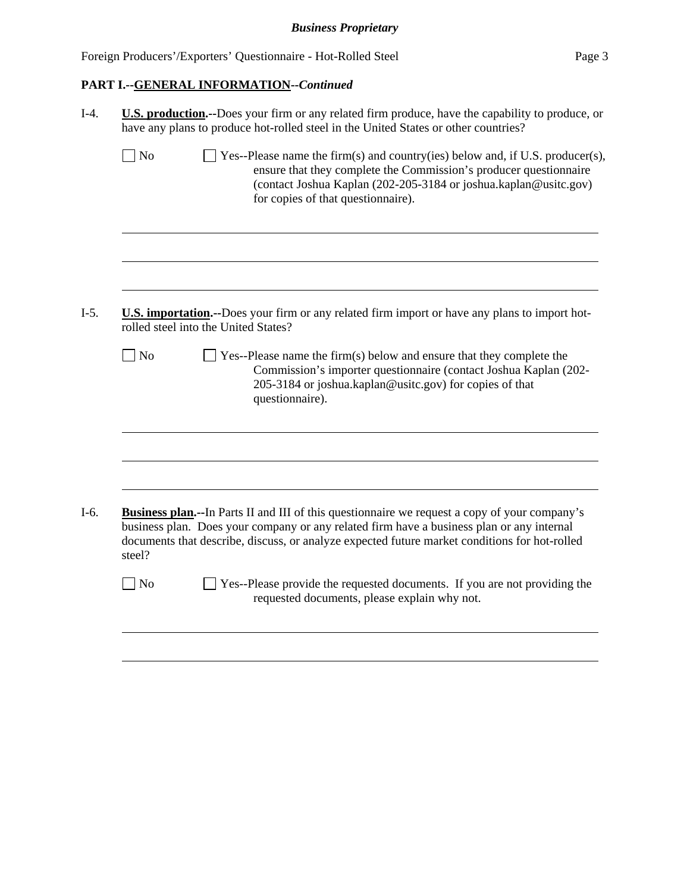# **PART I.--GENERAL INFORMATION--***Continued*

|                             | <b>U.S. production.</b> --Does your firm or any related firm produce, have the capability to produce, or<br>have any plans to produce hot-rolled steel in the United States or other countries?                                                                                                     |
|-----------------------------|-----------------------------------------------------------------------------------------------------------------------------------------------------------------------------------------------------------------------------------------------------------------------------------------------------|
| $\overline{\phantom{a}}$ No | $\Box$ Yes--Please name the firm(s) and country(ies) below and, if U.S. producer(s),<br>ensure that they complete the Commission's producer questionnaire<br>(contact Joshua Kaplan (202-205-3184 or joshua.kaplan@usitc.gov)<br>for copies of that questionnaire).                                 |
|                             |                                                                                                                                                                                                                                                                                                     |
|                             | U.S. importation.--Does your firm or any related firm import or have any plans to import hot-<br>rolled steel into the United States?                                                                                                                                                               |
| $\exists$ No                | $\blacksquare$ Yes--Please name the firm(s) below and ensure that they complete the<br>Commission's importer questionnaire (contact Joshua Kaplan (202-<br>205-3184 or joshua.kaplan@usitc.gov) for copies of that<br>questionnaire).                                                               |
|                             |                                                                                                                                                                                                                                                                                                     |
|                             |                                                                                                                                                                                                                                                                                                     |
| steel?                      | <b>Business plan.</b> --In Parts II and III of this questionnaire we request a copy of your company's<br>business plan. Does your company or any related firm have a business plan or any internal<br>documents that describe, discuss, or analyze expected future market conditions for hot-rolled |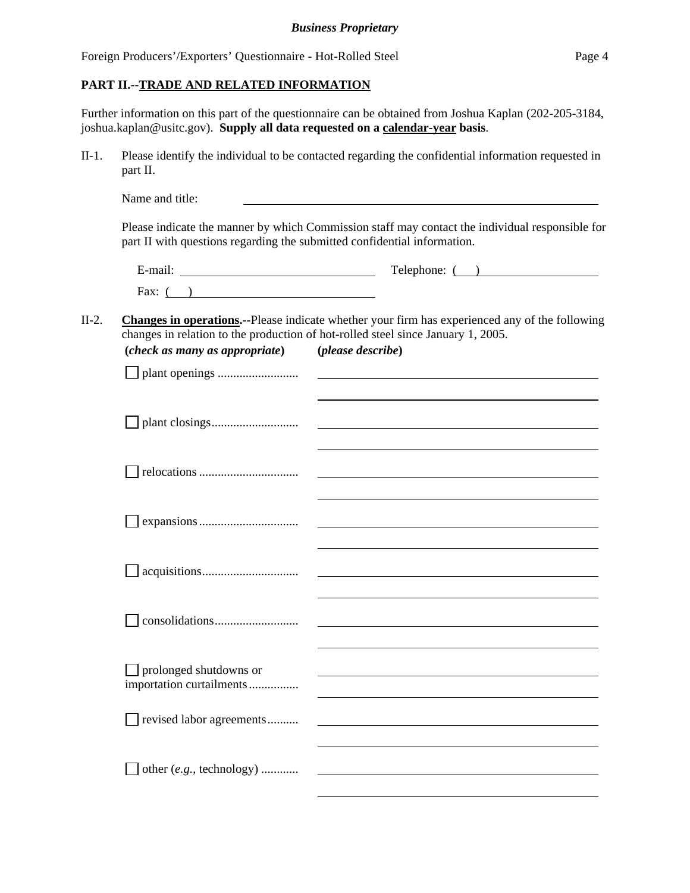### **PART II.--TRADE AND RELATED INFORMATION**

Further information on this part of the questionnaire can be obtained from Joshua Kaplan (202-205-3184, joshua.kaplan@usitc.gov). **Supply all data requested on a calendar-year basis**.

II-1. Please identify the individual to be contacted regarding the confidential information requested in part II.

|                                                    | $\text{Telephone: } ($ $)$                                                                                                                                                                                      |
|----------------------------------------------------|-----------------------------------------------------------------------------------------------------------------------------------------------------------------------------------------------------------------|
| Fax: $($ )                                         |                                                                                                                                                                                                                 |
| (check as many as appropriate)                     | <b>Changes in operations.</b> --Please indicate whether your firm has experienced any of the following<br>changes in relation to the production of hot-rolled steel since January 1, 2005.<br>(please describe) |
|                                                    |                                                                                                                                                                                                                 |
|                                                    | <u> 1989 - Johann Stein, fransk politik (d. 1989)</u>                                                                                                                                                           |
|                                                    |                                                                                                                                                                                                                 |
|                                                    |                                                                                                                                                                                                                 |
|                                                    | <u> 1989 - Johann Barn, amerikansk politiker (</u> † 1908)                                                                                                                                                      |
|                                                    |                                                                                                                                                                                                                 |
| prolonged shutdowns or<br>importation curtailments |                                                                                                                                                                                                                 |
| revised labor agreements                           |                                                                                                                                                                                                                 |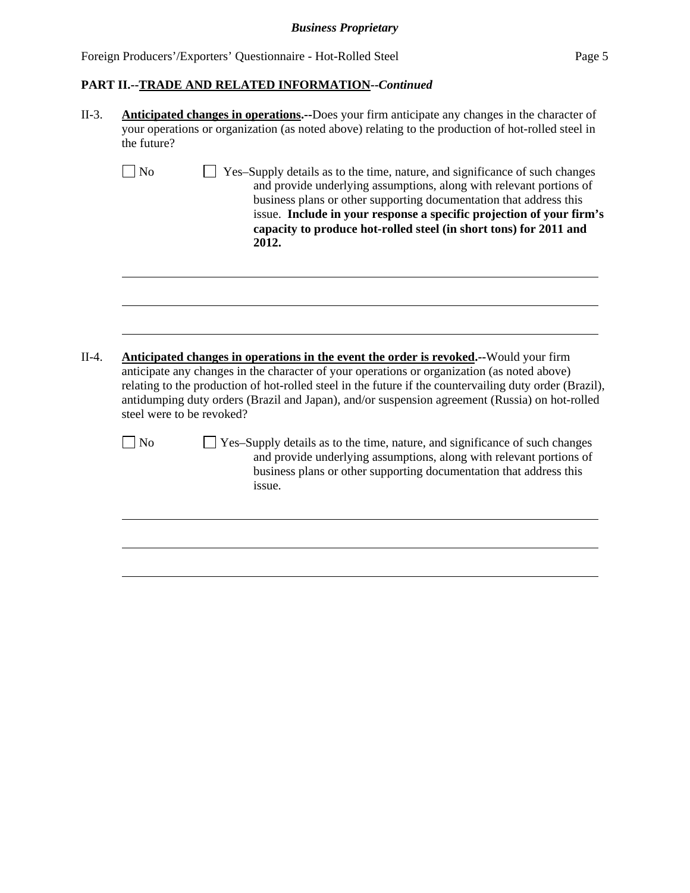## *Business Proprietary*

Foreign Producers'/Exporters' Questionnaire - Hot-Rolled Steel Page 5

### **PART II.--TRADE AND RELATED INFORMATION--***Continued*

|         | <b>Anticipated changes in operations.</b> --Does your firm anticipate any changes in the character of<br>your operations or organization (as noted above) relating to the production of hot-rolled steel in<br>the future? |                                                                                                                                                                                                                                                                                                                                                                                                           |  |  |  |  |  |
|---------|----------------------------------------------------------------------------------------------------------------------------------------------------------------------------------------------------------------------------|-----------------------------------------------------------------------------------------------------------------------------------------------------------------------------------------------------------------------------------------------------------------------------------------------------------------------------------------------------------------------------------------------------------|--|--|--|--|--|
|         | <b>No</b>                                                                                                                                                                                                                  | Yes-Supply details as to the time, nature, and significance of such changes<br>and provide underlying assumptions, along with relevant portions of<br>business plans or other supporting documentation that address this<br>issue. Include in your response a specific projection of your firm's<br>capacity to produce hot-rolled steel (in short tons) for 2011 and<br>2012.                            |  |  |  |  |  |
| $II-4.$ | steel were to be revoked?                                                                                                                                                                                                  | <b>Anticipated changes in operations in the event the order is revoked.</b> --Would your firm<br>anticipate any changes in the character of your operations or organization (as noted above)<br>relating to the production of hot-rolled steel in the future if the countervailing duty order (Brazil),<br>antidumping duty orders (Brazil and Japan), and/or suspension agreement (Russia) on hot-rolled |  |  |  |  |  |
|         | <b>No</b>                                                                                                                                                                                                                  |                                                                                                                                                                                                                                                                                                                                                                                                           |  |  |  |  |  |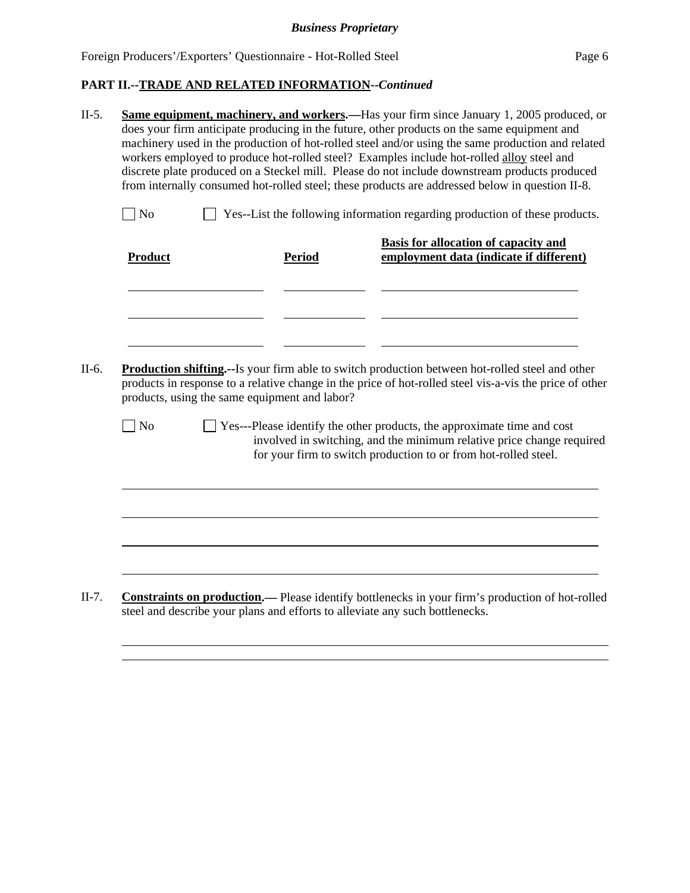- II-5. **Same equipment, machinery, and workers.—**Has your firm since January 1, 2005 produced, or does your firm anticipate producing in the future, other products on the same equipment and machinery used in the production of hot-rolled steel and/or using the same production and related workers employed to produce hot-rolled steel? Examples include hot-rolled alloy steel and discrete plate produced on a Steckel mill. Please do not include downstream products produced from internally consumed hot-rolled steel; these products are addressed below in question II-8.
	- No Ses--List the following information regarding production of these products.

| <b>Product</b> | <b>Period</b>                                 | <b>Basis for allocation of capacity and</b><br>employment data (indicate if different)                                                                                                                                     |
|----------------|-----------------------------------------------|----------------------------------------------------------------------------------------------------------------------------------------------------------------------------------------------------------------------------|
|                |                                               |                                                                                                                                                                                                                            |
|                |                                               |                                                                                                                                                                                                                            |
|                | products, using the same equipment and labor? | <b>Production shifting.</b> --Is your firm able to switch production between hot-rolled steel and other<br>products in response to a relative change in the price of hot-rolled steel vis-a-vis the price of other         |
| N <sub>0</sub> |                                               | $\Box$ Yes---Please identify the other products, the approximate time and cost<br>involved in switching, and the minimum relative price change required<br>for your firm to switch production to or from hot-rolled steel. |
|                |                                               |                                                                                                                                                                                                                            |
|                |                                               |                                                                                                                                                                                                                            |
|                |                                               |                                                                                                                                                                                                                            |

II-7. **Constraints on production.—** Please identify bottlenecks in your firm's production of hot-rolled steel and describe your plans and efforts to alleviate any such bottlenecks.

l l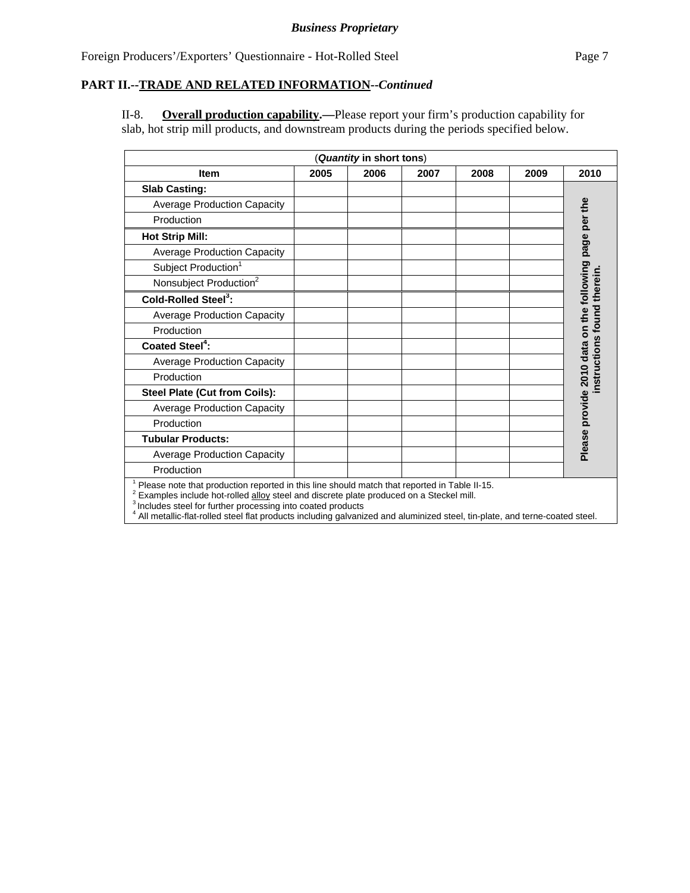II-8. **Overall production capability.—**Please report your firm's production capability for slab, hot strip mill products, and downstream products during the periods specified below.

| (Quantity in short tons)                                                                     |      |      |      |      |      |                                                        |
|----------------------------------------------------------------------------------------------|------|------|------|------|------|--------------------------------------------------------|
| <b>Item</b>                                                                                  | 2005 | 2006 | 2007 | 2008 | 2009 | 2010                                                   |
| <b>Slab Casting:</b>                                                                         |      |      |      |      |      |                                                        |
| <b>Average Production Capacity</b>                                                           |      |      |      |      |      |                                                        |
| Production                                                                                   |      |      |      |      |      |                                                        |
| <b>Hot Strip Mill:</b>                                                                       |      |      |      |      |      | Please provide 2010 data on the following page per the |
| <b>Average Production Capacity</b>                                                           |      |      |      |      |      |                                                        |
| Subject Production <sup>1</sup>                                                              |      |      |      |      |      |                                                        |
| Nonsubject Production <sup>2</sup>                                                           |      |      |      |      |      |                                                        |
| Cold-Rolled Steel <sup>3</sup> :                                                             |      |      |      |      |      |                                                        |
| <b>Average Production Capacity</b>                                                           |      |      |      |      |      |                                                        |
| Production                                                                                   |      |      |      |      |      |                                                        |
| <b>Coated Steel<sup>4</sup>:</b>                                                             |      |      |      |      |      |                                                        |
| <b>Average Production Capacity</b>                                                           |      |      |      |      |      | uction                                                 |
| Production                                                                                   |      |      |      |      |      | 븂                                                      |
| Steel Plate (Cut from Coils):                                                                |      |      |      |      |      |                                                        |
| <b>Average Production Capacity</b>                                                           |      |      |      |      |      |                                                        |
| Production                                                                                   |      |      |      |      |      |                                                        |
| <b>Tubular Products:</b>                                                                     |      |      |      |      |      |                                                        |
| <b>Average Production Capacity</b>                                                           |      |      |      |      |      |                                                        |
| Production                                                                                   |      |      |      |      |      |                                                        |
| Please note that production reported in this line should match that reported in Table II-15. |      |      |      |      |      |                                                        |

<sup>1</sup> Please note that production reported in this line should match that reported in Table II-15.<br>
<sup>2</sup> Examples include hot-rolled  $\underline{\text{allow}}$  steel and discrete plate produced on a Steckel mill.<br>
<sup>3</sup> Includes steel for fur

4 All metallic-flat-rolled steel flat products including galvanized and aluminized steel, tin-plate, and terne-coated steel.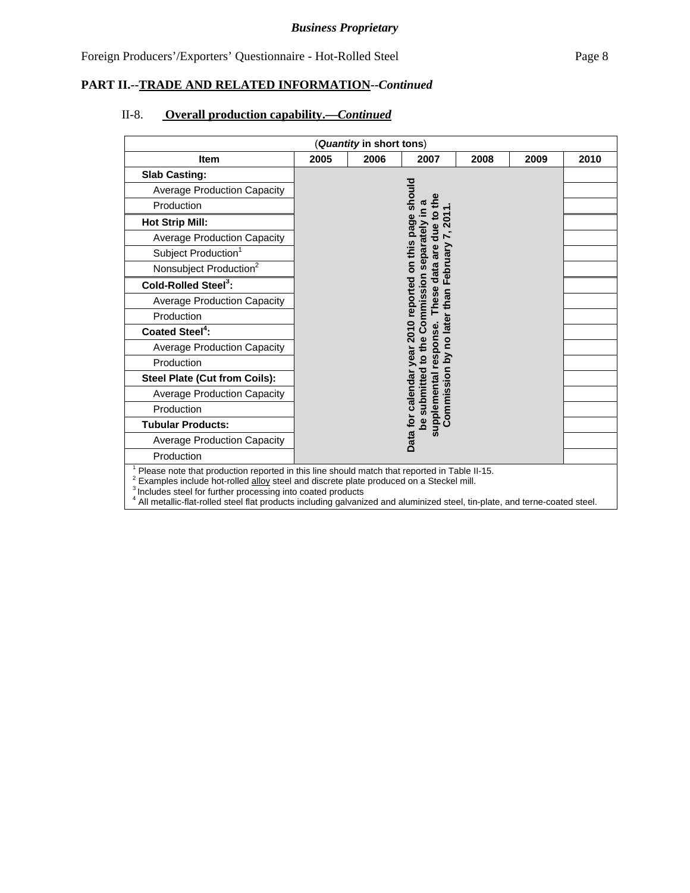### II-8. **Overall production capability.—***Continued*

| (Quantity in short tons)                                                                                                                                                                                                                                                                                                                                                                        |                                                                                                                                                    |                |                       |      |      |      |
|-------------------------------------------------------------------------------------------------------------------------------------------------------------------------------------------------------------------------------------------------------------------------------------------------------------------------------------------------------------------------------------------------|----------------------------------------------------------------------------------------------------------------------------------------------------|----------------|-----------------------|------|------|------|
| <b>Item</b>                                                                                                                                                                                                                                                                                                                                                                                     | 2005                                                                                                                                               | 2006           | 2007                  | 2008 | 2009 | 2010 |
| <b>Slab Casting:</b>                                                                                                                                                                                                                                                                                                                                                                            |                                                                                                                                                    |                |                       |      |      |      |
| <b>Average Production Capacity</b>                                                                                                                                                                                                                                                                                                                                                              |                                                                                                                                                    | should         |                       |      |      |      |
| Production                                                                                                                                                                                                                                                                                                                                                                                      |                                                                                                                                                    |                | the                   |      |      |      |
| <b>Hot Strip Mill:</b>                                                                                                                                                                                                                                                                                                                                                                          |                                                                                                                                                    |                | due to<br>201         |      |      |      |
| <b>Average Production Capacity</b>                                                                                                                                                                                                                                                                                                                                                              |                                                                                                                                                    |                |                       |      |      |      |
| Subject Production <sup>1</sup>                                                                                                                                                                                                                                                                                                                                                                 |                                                                                                                                                    | These data are |                       |      |      |      |
| Nonsubject Production <sup>2</sup>                                                                                                                                                                                                                                                                                                                                                              |                                                                                                                                                    |                |                       |      |      |      |
| Cold-Rolled Steel <sup>3</sup> :                                                                                                                                                                                                                                                                                                                                                                |                                                                                                                                                    |                |                       |      |      |      |
| <b>Average Production Capacity</b>                                                                                                                                                                                                                                                                                                                                                              |                                                                                                                                                    |                |                       |      |      |      |
| Production                                                                                                                                                                                                                                                                                                                                                                                      | be submitted to the Commission separately in a<br>year 2010 reported on this page<br>Commission by no later than February<br>upplemental response. |                |                       |      |      |      |
| Coated Steel <sup>4</sup> :                                                                                                                                                                                                                                                                                                                                                                     |                                                                                                                                                    |                |                       |      |      |      |
| <b>Average Production Capacity</b>                                                                                                                                                                                                                                                                                                                                                              |                                                                                                                                                    |                |                       |      |      |      |
| Production                                                                                                                                                                                                                                                                                                                                                                                      |                                                                                                                                                    |                |                       |      |      |      |
| <b>Steel Plate (Cut from Coils):</b>                                                                                                                                                                                                                                                                                                                                                            |                                                                                                                                                    |                |                       |      |      |      |
| <b>Average Production Capacity</b>                                                                                                                                                                                                                                                                                                                                                              |                                                                                                                                                    |                |                       |      |      |      |
| Production                                                                                                                                                                                                                                                                                                                                                                                      |                                                                                                                                                    |                |                       |      |      |      |
| <b>Tubular Products:</b>                                                                                                                                                                                                                                                                                                                                                                        | Data for calendar                                                                                                                                  |                |                       |      |      |      |
| <b>Average Production Capacity</b>                                                                                                                                                                                                                                                                                                                                                              |                                                                                                                                                    |                | $\boldsymbol{\omega}$ |      |      |      |
| Production                                                                                                                                                                                                                                                                                                                                                                                      |                                                                                                                                                    |                |                       |      |      |      |
| Please note that production reported in this line should match that reported in Table II-15.<br>Examples include hot-rolled alloy steel and discrete plate produced on a Steckel mill.<br><sup>3</sup> Includes steel for further processing into coated products<br>All metallic-flat-rolled steel flat products including galvanized and aluminized steel, tin-plate, and terne-coated steel. |                                                                                                                                                    |                |                       |      |      |      |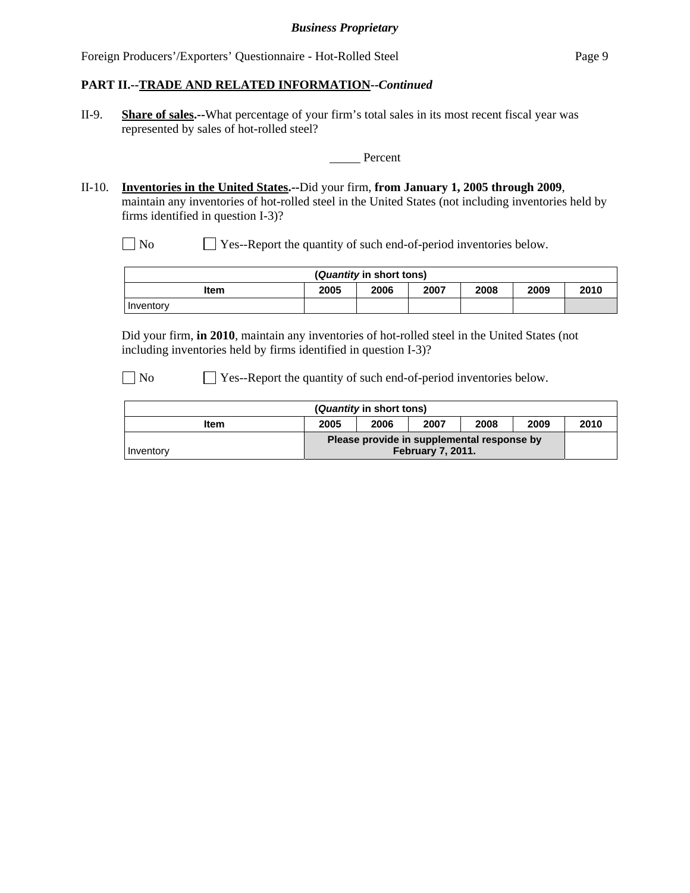II-9. **Share of sales.--**What percentage of your firm's total sales in its most recent fiscal year was represented by sales of hot-rolled steel?

**Percent** 

II-10. **Inventories in the United States.--**Did your firm, **from January 1, 2005 through 2009**, maintain any inventories of hot-rolled steel in the United States (not including inventories held by firms identified in question I-3)?

No Ses-Report the quantity of such end-of-period inventories below.

| ( <i>Quantity</i> in short tons)                     |  |  |  |  |  |  |  |
|------------------------------------------------------|--|--|--|--|--|--|--|
| 2010<br>2005<br>2007<br>2006<br>2009<br>2008<br>Item |  |  |  |  |  |  |  |
| <b>I</b> Inventory                                   |  |  |  |  |  |  |  |

Did your firm, **in 2010**, maintain any inventories of hot-rolled steel in the United States (not including inventories held by firms identified in question I-3)?

No Ses-Report the quantity of such end-of-period inventories below.

| ( <i>Quantity</i> in short tons) |      |      |                                                                        |      |      |      |
|----------------------------------|------|------|------------------------------------------------------------------------|------|------|------|
| Item                             | 2005 | 2006 | 2007                                                                   | 2008 | 2009 | 2010 |
| Inventory                        |      |      | Please provide in supplemental response by<br><b>February 7, 2011.</b> |      |      |      |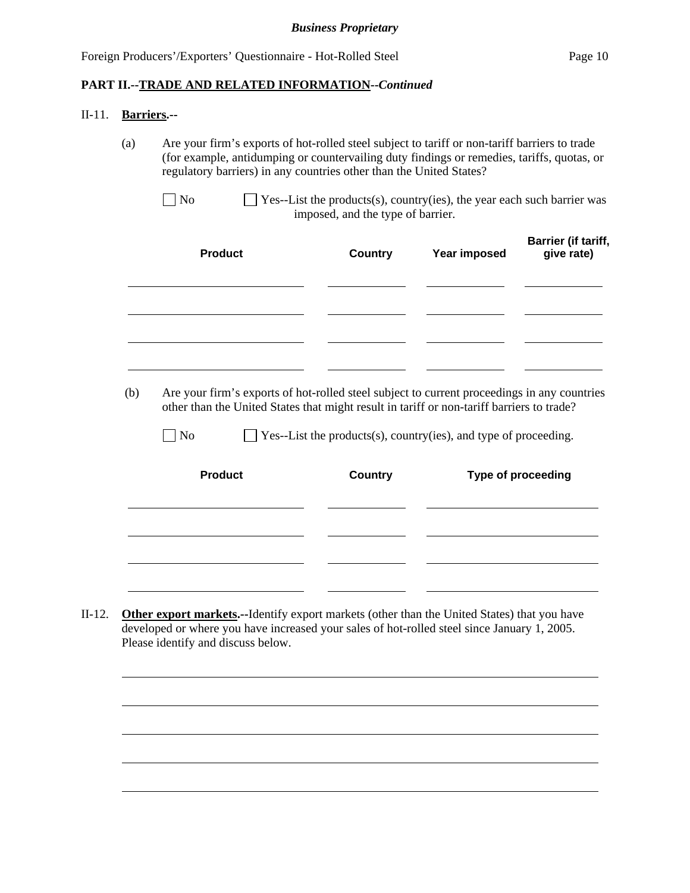#### II-11. **Barriers.--**

 $\overline{a}$ 

(a) Are your firm's exports of hot-rolled steel subject to tariff or non-tariff barriers to trade (for example, antidumping or countervailing duty findings or remedies, tariffs, quotas, or regulatory barriers) in any countries other than the United States?

| <b>Product</b> | <b>Country</b> | Year imposed | Barrier (if tariff,<br>give rate) |
|----------------|----------------|--------------|-----------------------------------|
|                |                |              |                                   |
|                |                |              |                                   |

 (b) Are your firm's exports of hot-rolled steel subject to current proceedings in any countries other than the United States that might result in tariff or non-tariff barriers to trade?

 $\Box$  No  $\Box$  Yes--List the products(s), country(ies), and type of proceeding.

| <b>Product</b> | <b>Country</b> | Type of proceeding |
|----------------|----------------|--------------------|
|                |                |                    |
|                |                |                    |
|                |                |                    |

II-12. **Other export markets.--**Identify export markets (other than the United States) that you have developed or where you have increased your sales of hot-rolled steel since January 1, 2005. Please identify and discuss below.



 $\Box$  No  $\Box$  Yes--List the products(s), country(ies), the year each such barrier was imposed, and the type of barrier.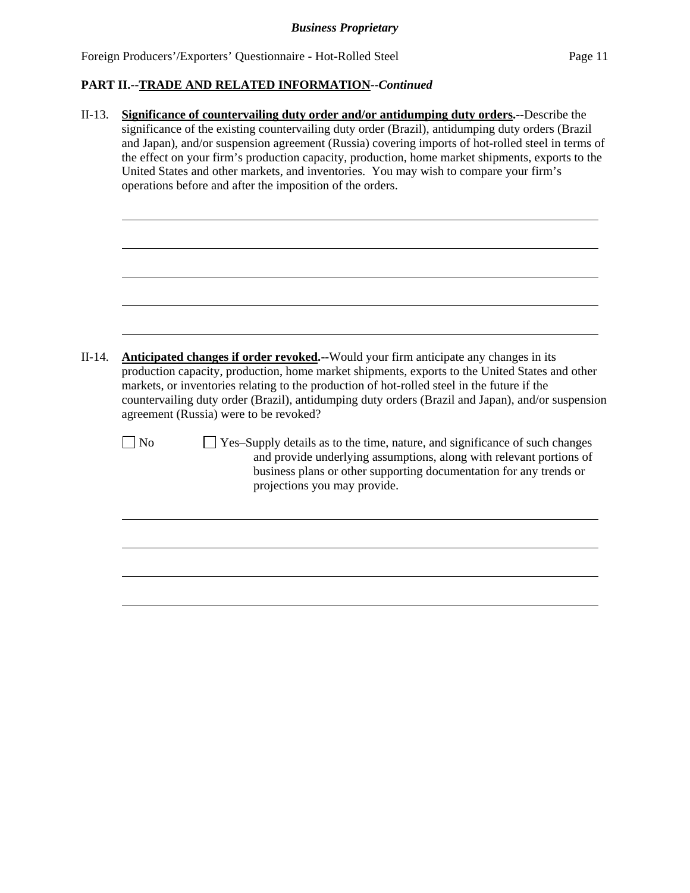| $II-13.$                                                                                                                                                                                                                                                                                                                                                                                                                                               | Significance of countervailing duty order and/or antidumping duty orders.--Describe the                                                                                                                                                                                                            |  |  |  |  |  |  |  |
|--------------------------------------------------------------------------------------------------------------------------------------------------------------------------------------------------------------------------------------------------------------------------------------------------------------------------------------------------------------------------------------------------------------------------------------------------------|----------------------------------------------------------------------------------------------------------------------------------------------------------------------------------------------------------------------------------------------------------------------------------------------------|--|--|--|--|--|--|--|
|                                                                                                                                                                                                                                                                                                                                                                                                                                                        | significance of the existing countervailing duty order (Brazil), antidumping duty orders (Brazil                                                                                                                                                                                                   |  |  |  |  |  |  |  |
|                                                                                                                                                                                                                                                                                                                                                                                                                                                        | and Japan), and/or suspension agreement (Russia) covering imports of hot-rolled steel in terms of                                                                                                                                                                                                  |  |  |  |  |  |  |  |
|                                                                                                                                                                                                                                                                                                                                                                                                                                                        |                                                                                                                                                                                                                                                                                                    |  |  |  |  |  |  |  |
|                                                                                                                                                                                                                                                                                                                                                                                                                                                        |                                                                                                                                                                                                                                                                                                    |  |  |  |  |  |  |  |
|                                                                                                                                                                                                                                                                                                                                                                                                                                                        |                                                                                                                                                                                                                                                                                                    |  |  |  |  |  |  |  |
|                                                                                                                                                                                                                                                                                                                                                                                                                                                        |                                                                                                                                                                                                                                                                                                    |  |  |  |  |  |  |  |
| the effect on your firm's production capacity, production, home market shipments, exports to the<br>United States and other markets, and inventories. You may wish to compare your firm's<br>operations before and after the imposition of the orders.<br>$II-14.$<br>Anticipated changes if order revoked.--Would your firm anticipate any changes in its<br>agreement (Russia) were to be revoked?<br>N <sub>o</sub><br>projections you may provide. |                                                                                                                                                                                                                                                                                                    |  |  |  |  |  |  |  |
|                                                                                                                                                                                                                                                                                                                                                                                                                                                        |                                                                                                                                                                                                                                                                                                    |  |  |  |  |  |  |  |
|                                                                                                                                                                                                                                                                                                                                                                                                                                                        |                                                                                                                                                                                                                                                                                                    |  |  |  |  |  |  |  |
|                                                                                                                                                                                                                                                                                                                                                                                                                                                        |                                                                                                                                                                                                                                                                                                    |  |  |  |  |  |  |  |
|                                                                                                                                                                                                                                                                                                                                                                                                                                                        |                                                                                                                                                                                                                                                                                                    |  |  |  |  |  |  |  |
|                                                                                                                                                                                                                                                                                                                                                                                                                                                        |                                                                                                                                                                                                                                                                                                    |  |  |  |  |  |  |  |
|                                                                                                                                                                                                                                                                                                                                                                                                                                                        |                                                                                                                                                                                                                                                                                                    |  |  |  |  |  |  |  |
|                                                                                                                                                                                                                                                                                                                                                                                                                                                        |                                                                                                                                                                                                                                                                                                    |  |  |  |  |  |  |  |
|                                                                                                                                                                                                                                                                                                                                                                                                                                                        |                                                                                                                                                                                                                                                                                                    |  |  |  |  |  |  |  |
|                                                                                                                                                                                                                                                                                                                                                                                                                                                        |                                                                                                                                                                                                                                                                                                    |  |  |  |  |  |  |  |
|                                                                                                                                                                                                                                                                                                                                                                                                                                                        |                                                                                                                                                                                                                                                                                                    |  |  |  |  |  |  |  |
|                                                                                                                                                                                                                                                                                                                                                                                                                                                        | production capacity, production, home market shipments, exports to the United States and other<br>markets, or inventories relating to the production of hot-rolled steel in the future if the<br>countervailing duty order (Brazil), antidumping duty orders (Brazil and Japan), and/or suspension |  |  |  |  |  |  |  |
|                                                                                                                                                                                                                                                                                                                                                                                                                                                        | Yes-Supply details as to the time, nature, and significance of such changes<br>and provide underlying assumptions, along with relevant portions of<br>business plans or other supporting documentation for any trends or                                                                           |  |  |  |  |  |  |  |
|                                                                                                                                                                                                                                                                                                                                                                                                                                                        |                                                                                                                                                                                                                                                                                                    |  |  |  |  |  |  |  |
|                                                                                                                                                                                                                                                                                                                                                                                                                                                        |                                                                                                                                                                                                                                                                                                    |  |  |  |  |  |  |  |
|                                                                                                                                                                                                                                                                                                                                                                                                                                                        |                                                                                                                                                                                                                                                                                                    |  |  |  |  |  |  |  |
|                                                                                                                                                                                                                                                                                                                                                                                                                                                        |                                                                                                                                                                                                                                                                                                    |  |  |  |  |  |  |  |
|                                                                                                                                                                                                                                                                                                                                                                                                                                                        |                                                                                                                                                                                                                                                                                                    |  |  |  |  |  |  |  |
|                                                                                                                                                                                                                                                                                                                                                                                                                                                        |                                                                                                                                                                                                                                                                                                    |  |  |  |  |  |  |  |
|                                                                                                                                                                                                                                                                                                                                                                                                                                                        |                                                                                                                                                                                                                                                                                                    |  |  |  |  |  |  |  |
|                                                                                                                                                                                                                                                                                                                                                                                                                                                        |                                                                                                                                                                                                                                                                                                    |  |  |  |  |  |  |  |
|                                                                                                                                                                                                                                                                                                                                                                                                                                                        |                                                                                                                                                                                                                                                                                                    |  |  |  |  |  |  |  |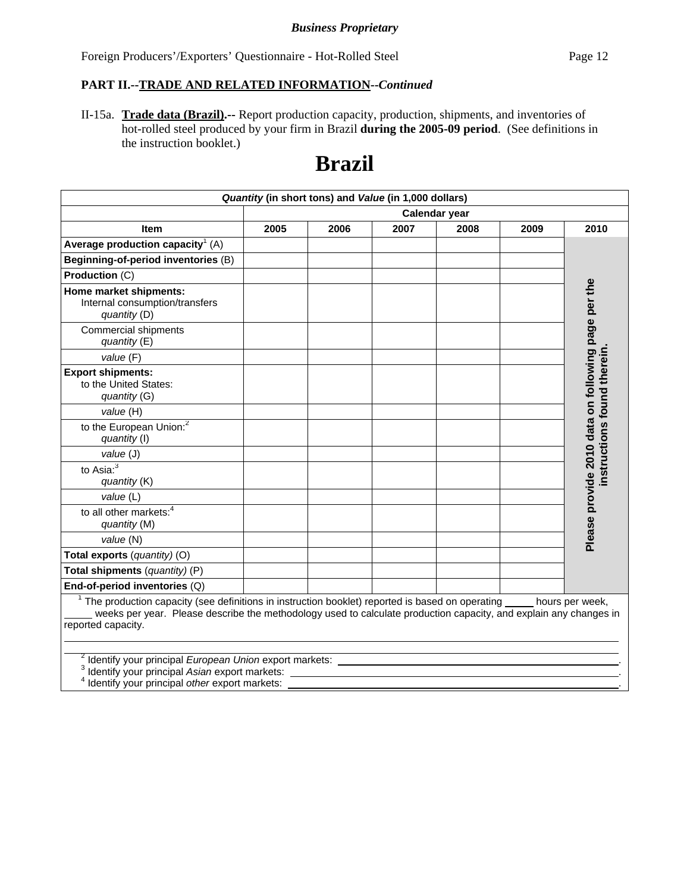### **PART II.--TRADE AND RELATED INFORMATION--***Continued*

II-15a. **Trade data (Brazil).--** Report production capacity, production, shipments, and inventories of hot-rolled steel produced by your firm in Brazil **during the 2005-09 period**. (See definitions in the instruction booklet.)

# **Brazil**

|                                                                                                                                                                                                                                                                           |      | Quantity (in short tons) and Value (in 1,000 dollars) |      |               |      |                                                    |
|---------------------------------------------------------------------------------------------------------------------------------------------------------------------------------------------------------------------------------------------------------------------------|------|-------------------------------------------------------|------|---------------|------|----------------------------------------------------|
|                                                                                                                                                                                                                                                                           |      |                                                       |      | Calendar year |      |                                                    |
| <b>Item</b>                                                                                                                                                                                                                                                               | 2005 | 2006                                                  | 2007 | 2008          | 2009 | 2010                                               |
| Average production capacity <sup>1</sup> (A)                                                                                                                                                                                                                              |      |                                                       |      |               |      |                                                    |
| Beginning-of-period inventories (B)                                                                                                                                                                                                                                       |      |                                                       |      |               |      |                                                    |
| Production (C)                                                                                                                                                                                                                                                            |      |                                                       |      |               |      |                                                    |
| Home market shipments:<br>Internal consumption/transfers<br>quantity (D)                                                                                                                                                                                                  |      |                                                       |      |               |      | Please provide 2010 data on following page per the |
| Commercial shipments<br>quantity $(E)$                                                                                                                                                                                                                                    |      |                                                       |      |               |      |                                                    |
| value (F)                                                                                                                                                                                                                                                                 |      |                                                       |      |               |      |                                                    |
| <b>Export shipments:</b><br>to the United States:<br>quantity (G)                                                                                                                                                                                                         |      |                                                       |      |               |      | nstructions found therein                          |
| value (H)                                                                                                                                                                                                                                                                 |      |                                                       |      |               |      |                                                    |
| to the European Union: <sup>2</sup><br>quantity (I)                                                                                                                                                                                                                       |      |                                                       |      |               |      |                                                    |
| value (J)                                                                                                                                                                                                                                                                 |      |                                                       |      |               |      |                                                    |
| to Asia: $\overline{\overline{3}}$<br>quantity (K)                                                                                                                                                                                                                        |      |                                                       |      |               |      |                                                    |
| value (L)                                                                                                                                                                                                                                                                 |      |                                                       |      |               |      |                                                    |
| to all other markets: <sup>4</sup><br>quantity (M)                                                                                                                                                                                                                        |      |                                                       |      |               |      |                                                    |
| value (N)                                                                                                                                                                                                                                                                 |      |                                                       |      |               |      |                                                    |
| Total exports (quantity) (O)                                                                                                                                                                                                                                              |      |                                                       |      |               |      |                                                    |
| Total shipments (quantity) (P)                                                                                                                                                                                                                                            |      |                                                       |      |               |      |                                                    |
| End-of-period inventories (Q)                                                                                                                                                                                                                                             |      |                                                       |      |               |      |                                                    |
| $1$ The production capacity (see definitions in instruction booklet) reported is based on operating $\_\_\_\_$ hours per week,<br>weeks per year. Please describe the methodology used to calculate production capacity, and explain any changes in<br>reported capacity. |      |                                                       |      |               |      |                                                    |
| <sup>2</sup> Identify your principal European Union export markets:<br>Identify your principal Asian export markets:<br>Identify your principal other export markets:                                                                                                     |      |                                                       |      |               |      |                                                    |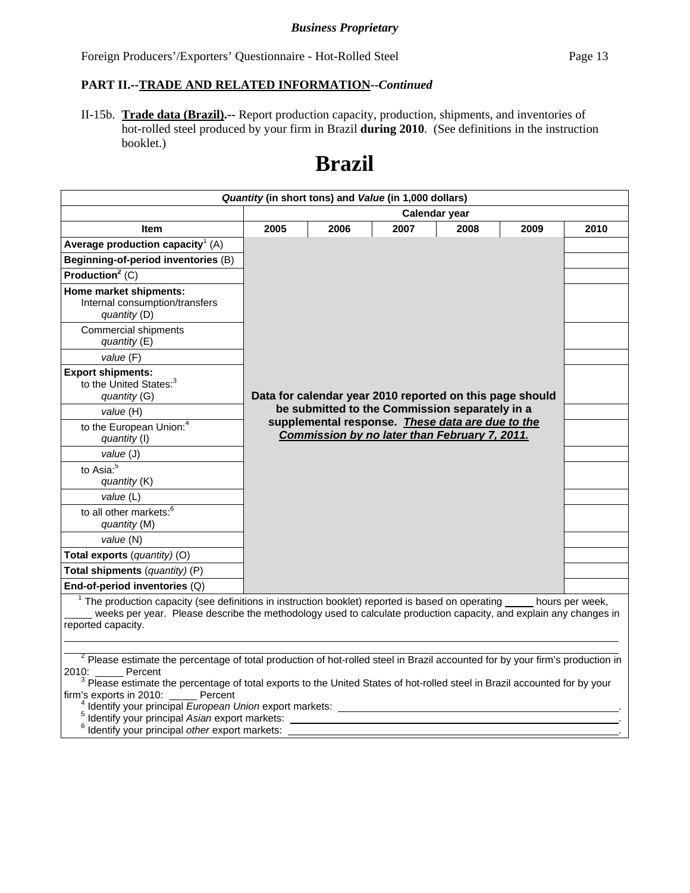II-15b. **Trade data (Brazil).--** Report production capacity, production, shipments, and inventories of hot-rolled steel produced by your firm in Brazil **during 2010**. (See definitions in the instruction booklet.)

# **Brazil**

|                                                                                                                                                                                                                                                                                                                                                                                                              |      |      | Quantity (in short tons) and Value (in 1,000 dollars)                                              |               |      |      |
|--------------------------------------------------------------------------------------------------------------------------------------------------------------------------------------------------------------------------------------------------------------------------------------------------------------------------------------------------------------------------------------------------------------|------|------|----------------------------------------------------------------------------------------------------|---------------|------|------|
|                                                                                                                                                                                                                                                                                                                                                                                                              |      |      |                                                                                                    | Calendar year |      |      |
| Item                                                                                                                                                                                                                                                                                                                                                                                                         | 2005 | 2006 | 2007                                                                                               | 2008          | 2009 | 2010 |
| Average production capacity <sup>1</sup> (A)                                                                                                                                                                                                                                                                                                                                                                 |      |      |                                                                                                    |               |      |      |
| Beginning-of-period inventories (B)                                                                                                                                                                                                                                                                                                                                                                          |      |      |                                                                                                    |               |      |      |
| Production <sup>2</sup> $(C)$                                                                                                                                                                                                                                                                                                                                                                                |      |      |                                                                                                    |               |      |      |
| Home market shipments:<br>Internal consumption/transfers<br>quantity (D)                                                                                                                                                                                                                                                                                                                                     |      |      |                                                                                                    |               |      |      |
| <b>Commercial shipments</b><br>quantity (E)                                                                                                                                                                                                                                                                                                                                                                  |      |      |                                                                                                    |               |      |      |
| value (F)                                                                                                                                                                                                                                                                                                                                                                                                    |      |      |                                                                                                    |               |      |      |
| <b>Export shipments:</b><br>to the United States: <sup>3</sup><br>quantity (G)                                                                                                                                                                                                                                                                                                                               |      |      | Data for calendar year 2010 reported on this page should                                           |               |      |      |
| value (H)                                                                                                                                                                                                                                                                                                                                                                                                    |      |      | be submitted to the Commission separately in a<br>supplemental response. These data are due to the |               |      |      |
| to the European Union: <sup>4</sup><br>quantity (I)                                                                                                                                                                                                                                                                                                                                                          |      |      | Commission by no later than February 7, 2011.                                                      |               |      |      |
| value (J)                                                                                                                                                                                                                                                                                                                                                                                                    |      |      |                                                                                                    |               |      |      |
| to Asia: <sup>5</sup><br>quantity (K)                                                                                                                                                                                                                                                                                                                                                                        |      |      |                                                                                                    |               |      |      |
| value (L)                                                                                                                                                                                                                                                                                                                                                                                                    |      |      |                                                                                                    |               |      |      |
| to all other markets: <sup>6</sup><br>quantity (M)                                                                                                                                                                                                                                                                                                                                                           |      |      |                                                                                                    |               |      |      |
| value (N)                                                                                                                                                                                                                                                                                                                                                                                                    |      |      |                                                                                                    |               |      |      |
| Total exports (quantity) (O)                                                                                                                                                                                                                                                                                                                                                                                 |      |      |                                                                                                    |               |      |      |
| Total shipments (quantity) (P)                                                                                                                                                                                                                                                                                                                                                                               |      |      |                                                                                                    |               |      |      |
| End-of-period inventories (Q)                                                                                                                                                                                                                                                                                                                                                                                |      |      |                                                                                                    |               |      |      |
| $1$ The production capacity (see definitions in instruction booklet) reported is based on operating $\_\_$ hours per week,<br>weeks per year. Please describe the methodology used to calculate production capacity, and explain any changes in<br>reported capacity.                                                                                                                                        |      |      |                                                                                                    |               |      |      |
|                                                                                                                                                                                                                                                                                                                                                                                                              |      |      |                                                                                                    |               |      |      |
| <sup>2</sup> Please estimate the percentage of total production of hot-rolled steel in Brazil accounted for by your firm's production in<br>2010: Percent<br><sup>3</sup> Please estimate the percentage of total exports to the United States of hot-rolled steel in Brazil accounted for by your<br>firm's exports in 2010: Percent<br><sup>4</sup> Identify your principal European Union export markets: |      |      |                                                                                                    |               |      |      |
| Identify your principal Asian export markets:<br><sup>6</sup> Identify your principal other export markets:                                                                                                                                                                                                                                                                                                  |      |      |                                                                                                    |               |      |      |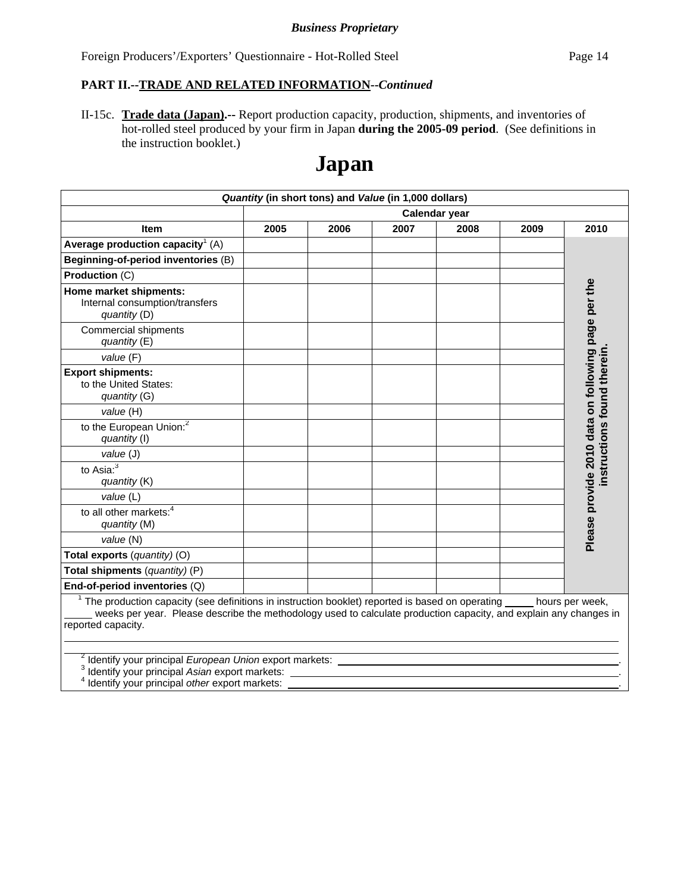### **PART II.--TRADE AND RELATED INFORMATION--***Continued*

II-15c. **Trade data (Japan).--** Report production capacity, production, shipments, and inventories of hot-rolled steel produced by your firm in Japan **during the 2005-09 period**. (See definitions in the instruction booklet.)

# **Japan**

|                                                                                                                                                                                                                                                                           |      | Quantity (in short tons) and Value (in 1,000 dollars) |      |               |      |                                                    |
|---------------------------------------------------------------------------------------------------------------------------------------------------------------------------------------------------------------------------------------------------------------------------|------|-------------------------------------------------------|------|---------------|------|----------------------------------------------------|
|                                                                                                                                                                                                                                                                           |      |                                                       |      | Calendar year |      |                                                    |
| <b>Item</b>                                                                                                                                                                                                                                                               | 2005 | 2006                                                  | 2007 | 2008          | 2009 | 2010                                               |
| Average production capacity <sup>1</sup> (A)                                                                                                                                                                                                                              |      |                                                       |      |               |      |                                                    |
| Beginning-of-period inventories (B)                                                                                                                                                                                                                                       |      |                                                       |      |               |      |                                                    |
| Production (C)                                                                                                                                                                                                                                                            |      |                                                       |      |               |      |                                                    |
| Home market shipments:<br>Internal consumption/transfers<br>quantity (D)                                                                                                                                                                                                  |      |                                                       |      |               |      | Please provide 2010 data on following page per the |
| <b>Commercial shipments</b><br>quantity $(E)$                                                                                                                                                                                                                             |      |                                                       |      |               |      |                                                    |
| value (F)                                                                                                                                                                                                                                                                 |      |                                                       |      |               |      |                                                    |
| <b>Export shipments:</b><br>to the United States:<br>quantity (G)                                                                                                                                                                                                         |      |                                                       |      |               |      | nstructions found therein                          |
| value (H)                                                                                                                                                                                                                                                                 |      |                                                       |      |               |      |                                                    |
| to the European Union: <sup>2</sup><br>quantity (I)                                                                                                                                                                                                                       |      |                                                       |      |               |      |                                                    |
| value (J)                                                                                                                                                                                                                                                                 |      |                                                       |      |               |      |                                                    |
| to Asia: $3$<br>quantity (K)                                                                                                                                                                                                                                              |      |                                                       |      |               |      |                                                    |
| value (L)                                                                                                                                                                                                                                                                 |      |                                                       |      |               |      |                                                    |
| to all other markets: <sup>4</sup><br>quantity (M)                                                                                                                                                                                                                        |      |                                                       |      |               |      |                                                    |
| value (N)                                                                                                                                                                                                                                                                 |      |                                                       |      |               |      |                                                    |
| Total exports (quantity) (O)                                                                                                                                                                                                                                              |      |                                                       |      |               |      |                                                    |
| Total shipments (quantity) (P)                                                                                                                                                                                                                                            |      |                                                       |      |               |      |                                                    |
| End-of-period inventories (Q)                                                                                                                                                                                                                                             |      |                                                       |      |               |      |                                                    |
| $1$ The production capacity (see definitions in instruction booklet) reported is based on operating $\_\_\_\_$ hours per week,<br>weeks per year. Please describe the methodology used to calculate production capacity, and explain any changes in<br>reported capacity. |      |                                                       |      |               |      |                                                    |
| <sup>2</sup> Identify your principal European Union export markets:<br>Identify your principal Asian export markets:<br>Identify your principal other export markets:                                                                                                     |      |                                                       |      |               |      |                                                    |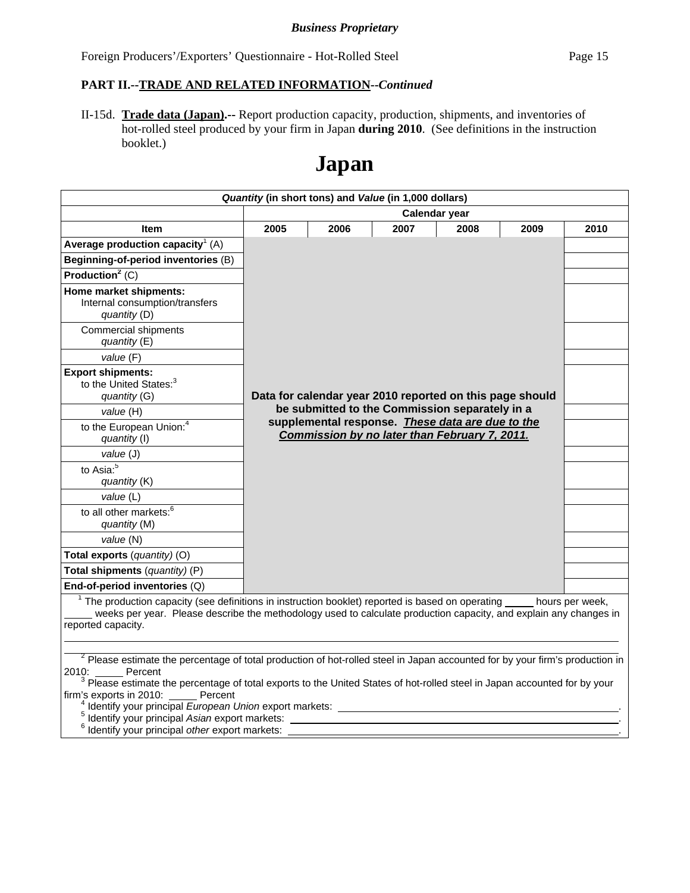### **PART II.--TRADE AND RELATED INFORMATION--***Continued*

II-15d. **Trade data (Japan).--** Report production capacity, production, shipments, and inventories of hot-rolled steel produced by your firm in Japan **during 2010**. (See definitions in the instruction booklet.)

# **Japan**

|                                                                                                                                                                                                                                                                                                                                                                                                            | Quantity (in short tons) and Value (in 1,000 dollars) |      |                                                                                                   |               |      |      |
|------------------------------------------------------------------------------------------------------------------------------------------------------------------------------------------------------------------------------------------------------------------------------------------------------------------------------------------------------------------------------------------------------------|-------------------------------------------------------|------|---------------------------------------------------------------------------------------------------|---------------|------|------|
|                                                                                                                                                                                                                                                                                                                                                                                                            |                                                       |      |                                                                                                   | Calendar year |      |      |
| <b>Item</b>                                                                                                                                                                                                                                                                                                                                                                                                | 2005                                                  | 2006 | 2007                                                                                              | 2008          | 2009 | 2010 |
| Average production capacity <sup>1</sup> (A)                                                                                                                                                                                                                                                                                                                                                               |                                                       |      |                                                                                                   |               |      |      |
| Beginning-of-period inventories (B)                                                                                                                                                                                                                                                                                                                                                                        |                                                       |      |                                                                                                   |               |      |      |
| Production <sup>2</sup> $(C)$                                                                                                                                                                                                                                                                                                                                                                              |                                                       |      |                                                                                                   |               |      |      |
| Home market shipments:<br>Internal consumption/transfers<br>quantity (D)                                                                                                                                                                                                                                                                                                                                   |                                                       |      |                                                                                                   |               |      |      |
| <b>Commercial shipments</b><br>quantity $(E)$                                                                                                                                                                                                                                                                                                                                                              |                                                       |      |                                                                                                   |               |      |      |
| value (F)                                                                                                                                                                                                                                                                                                                                                                                                  |                                                       |      |                                                                                                   |               |      |      |
| <b>Export shipments:</b><br>to the United States: <sup>3</sup><br>quantity (G)                                                                                                                                                                                                                                                                                                                             |                                                       |      | Data for calendar year 2010 reported on this page should                                          |               |      |      |
| value (H)                                                                                                                                                                                                                                                                                                                                                                                                  |                                                       |      | be submitted to the Commission separately in a                                                    |               |      |      |
| to the European Union: <sup>4</sup><br>quantity (I)                                                                                                                                                                                                                                                                                                                                                        |                                                       |      | supplemental response. These data are due to the<br>Commission by no later than February 7, 2011. |               |      |      |
| value (J)                                                                                                                                                                                                                                                                                                                                                                                                  |                                                       |      |                                                                                                   |               |      |      |
| to Asia: <sup>5</sup><br>quantity (K)                                                                                                                                                                                                                                                                                                                                                                      |                                                       |      |                                                                                                   |               |      |      |
| value (L)                                                                                                                                                                                                                                                                                                                                                                                                  |                                                       |      |                                                                                                   |               |      |      |
| to all other markets: <sup>6</sup><br>quantity (M)                                                                                                                                                                                                                                                                                                                                                         |                                                       |      |                                                                                                   |               |      |      |
| value (N)                                                                                                                                                                                                                                                                                                                                                                                                  |                                                       |      |                                                                                                   |               |      |      |
| Total exports (quantity) (O)                                                                                                                                                                                                                                                                                                                                                                               |                                                       |      |                                                                                                   |               |      |      |
| Total shipments (quantity) (P)                                                                                                                                                                                                                                                                                                                                                                             |                                                       |      |                                                                                                   |               |      |      |
| End-of-period inventories (Q)                                                                                                                                                                                                                                                                                                                                                                              |                                                       |      |                                                                                                   |               |      |      |
| $1$ The production capacity (see definitions in instruction booklet) reported is based on operating $\_\_$ hours per week,<br>weeks per year. Please describe the methodology used to calculate production capacity, and explain any changes in<br>reported capacity.                                                                                                                                      |                                                       |      |                                                                                                   |               |      |      |
|                                                                                                                                                                                                                                                                                                                                                                                                            |                                                       |      |                                                                                                   |               |      |      |
| <sup>2</sup> Please estimate the percentage of total production of hot-rolled steel in Japan accounted for by your firm's production in<br>2010: Percent<br><sup>3</sup> Please estimate the percentage of total exports to the United States of hot-rolled steel in Japan accounted for by your<br>firm's exports in 2010: Percent<br><sup>4</sup> Identify your principal European Union export markets: |                                                       |      |                                                                                                   |               |      |      |
| Identify your principal Asian export markets:                                                                                                                                                                                                                                                                                                                                                              |                                                       |      |                                                                                                   |               |      |      |
| <sup>6</sup> Identify your principal other export markets:                                                                                                                                                                                                                                                                                                                                                 |                                                       |      |                                                                                                   |               |      |      |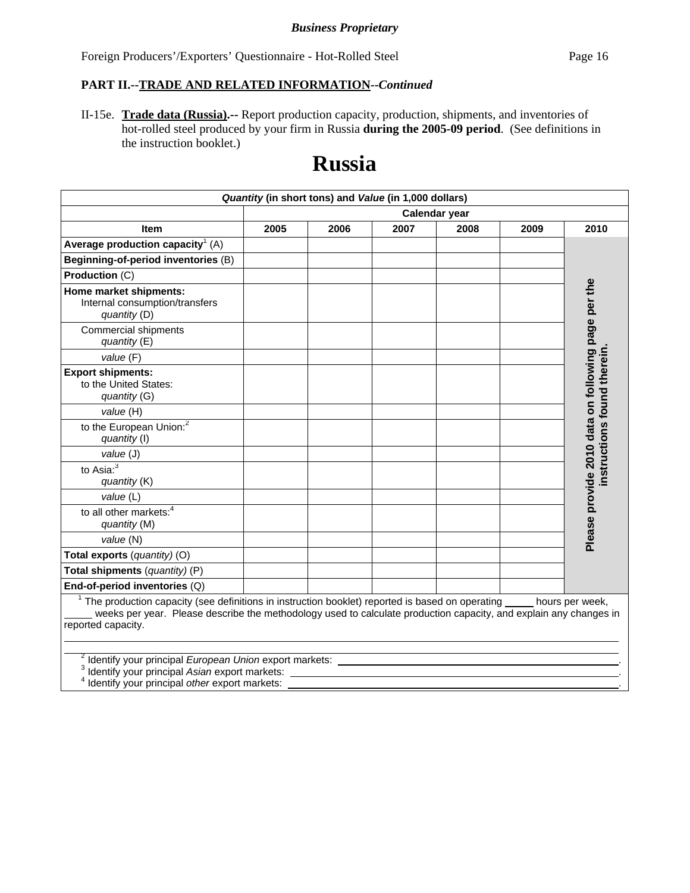### **PART II.--TRADE AND RELATED INFORMATION--***Continued*

II-15e. **Trade data (Russia).--** Report production capacity, production, shipments, and inventories of hot-rolled steel produced by your firm in Russia **during the 2005-09 period**. (See definitions in the instruction booklet.)

# **Russia**

|                                                                                                                                                                                                                                                                           |      | Quantity (in short tons) and Value (in 1,000 dollars) |      |               |      |                                                    |
|---------------------------------------------------------------------------------------------------------------------------------------------------------------------------------------------------------------------------------------------------------------------------|------|-------------------------------------------------------|------|---------------|------|----------------------------------------------------|
|                                                                                                                                                                                                                                                                           |      |                                                       |      | Calendar year |      |                                                    |
| <b>Item</b>                                                                                                                                                                                                                                                               | 2005 | 2006                                                  | 2007 | 2008          | 2009 | 2010                                               |
| Average production capacity <sup>1</sup> (A)                                                                                                                                                                                                                              |      |                                                       |      |               |      |                                                    |
| Beginning-of-period inventories (B)                                                                                                                                                                                                                                       |      |                                                       |      |               |      |                                                    |
| Production (C)                                                                                                                                                                                                                                                            |      |                                                       |      |               |      |                                                    |
| Home market shipments:<br>Internal consumption/transfers<br>quantity (D)<br><b>Commercial shipments</b>                                                                                                                                                                   |      |                                                       |      |               |      | Please provide 2010 data on following page per the |
| quantity $(E)$                                                                                                                                                                                                                                                            |      |                                                       |      |               |      |                                                    |
| value (F)                                                                                                                                                                                                                                                                 |      |                                                       |      |               |      |                                                    |
| <b>Export shipments:</b><br>to the United States:<br>quantity (G)                                                                                                                                                                                                         |      |                                                       |      |               |      | instructions found therein                         |
| value (H)                                                                                                                                                                                                                                                                 |      |                                                       |      |               |      |                                                    |
| to the European Union: <sup>2</sup><br>quantity (I)                                                                                                                                                                                                                       |      |                                                       |      |               |      |                                                    |
| value (J)                                                                                                                                                                                                                                                                 |      |                                                       |      |               |      |                                                    |
| to Asia: $3$<br>quantity (K)                                                                                                                                                                                                                                              |      |                                                       |      |               |      |                                                    |
| value (L)                                                                                                                                                                                                                                                                 |      |                                                       |      |               |      |                                                    |
| to all other markets: <sup>4</sup><br>quantity (M)                                                                                                                                                                                                                        |      |                                                       |      |               |      |                                                    |
| value (N)                                                                                                                                                                                                                                                                 |      |                                                       |      |               |      |                                                    |
| Total exports (quantity) (O)                                                                                                                                                                                                                                              |      |                                                       |      |               |      |                                                    |
| Total shipments (quantity) (P)                                                                                                                                                                                                                                            |      |                                                       |      |               |      |                                                    |
| End-of-period inventories (Q)                                                                                                                                                                                                                                             |      |                                                       |      |               |      |                                                    |
| $1$ The production capacity (see definitions in instruction booklet) reported is based on operating $\_\_\_\_$ hours per week,<br>weeks per year. Please describe the methodology used to calculate production capacity, and explain any changes in<br>reported capacity. |      |                                                       |      |               |      |                                                    |
| <sup>2</sup> Identify your principal European Union export markets:<br>Identify your principal Asian export markets:<br>Identify your principal other export markets:                                                                                                     |      |                                                       |      |               |      |                                                    |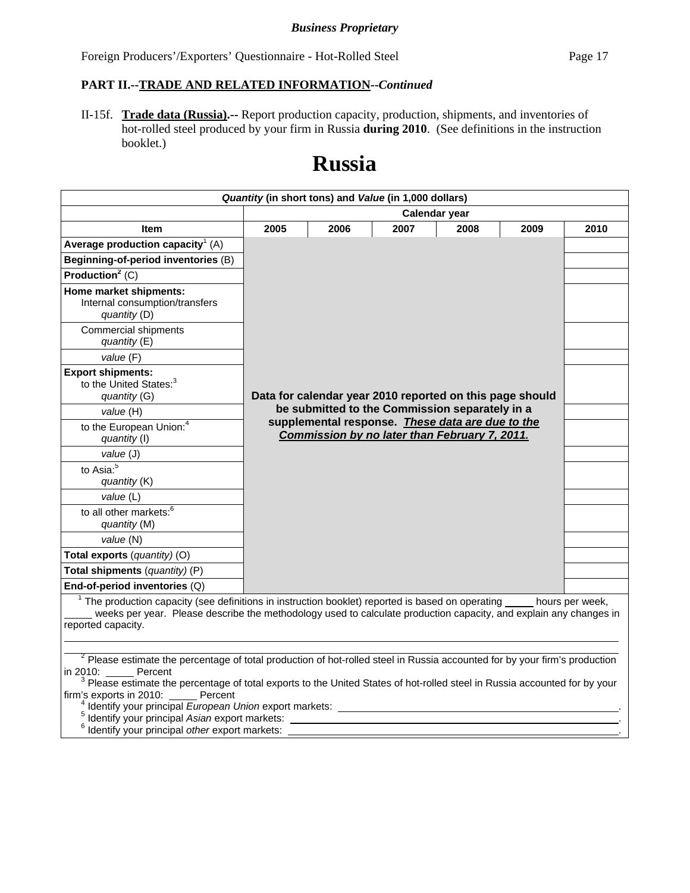### **PART II.--TRADE AND RELATED INFORMATION--***Continued*

II-15f. **Trade data (Russia).--** Report production capacity, production, shipments, and inventories of hot-rolled steel produced by your firm in Russia **during 2010**. (See definitions in the instruction booklet.)

# **Russia**

|                                                                                                                                                                                                                                                                                                                                                                                                                                                                                                                                |      |      | Quantity (in short tons) and Value (in 1,000 dollars) |                                                                                                    |      |      |
|--------------------------------------------------------------------------------------------------------------------------------------------------------------------------------------------------------------------------------------------------------------------------------------------------------------------------------------------------------------------------------------------------------------------------------------------------------------------------------------------------------------------------------|------|------|-------------------------------------------------------|----------------------------------------------------------------------------------------------------|------|------|
|                                                                                                                                                                                                                                                                                                                                                                                                                                                                                                                                |      |      | Calendar year                                         |                                                                                                    |      |      |
| <b>Item</b>                                                                                                                                                                                                                                                                                                                                                                                                                                                                                                                    | 2005 | 2006 | 2007                                                  | 2008                                                                                               | 2009 | 2010 |
| Average production capacity <sup>1</sup> (A)                                                                                                                                                                                                                                                                                                                                                                                                                                                                                   |      |      |                                                       |                                                                                                    |      |      |
| Beginning-of-period inventories (B)                                                                                                                                                                                                                                                                                                                                                                                                                                                                                            |      |      |                                                       |                                                                                                    |      |      |
| Production <sup>2</sup> (C)                                                                                                                                                                                                                                                                                                                                                                                                                                                                                                    |      |      |                                                       |                                                                                                    |      |      |
| Home market shipments:<br>Internal consumption/transfers<br>quantity (D)                                                                                                                                                                                                                                                                                                                                                                                                                                                       |      |      |                                                       |                                                                                                    |      |      |
| <b>Commercial shipments</b><br>quantity (E)                                                                                                                                                                                                                                                                                                                                                                                                                                                                                    |      |      |                                                       |                                                                                                    |      |      |
| value (F)                                                                                                                                                                                                                                                                                                                                                                                                                                                                                                                      |      |      |                                                       |                                                                                                    |      |      |
| <b>Export shipments:</b><br>to the United States: <sup>3</sup><br>quantity (G)                                                                                                                                                                                                                                                                                                                                                                                                                                                 |      |      |                                                       | Data for calendar year 2010 reported on this page should                                           |      |      |
| value (H)                                                                                                                                                                                                                                                                                                                                                                                                                                                                                                                      |      |      |                                                       | be submitted to the Commission separately in a<br>supplemental response. These data are due to the |      |      |
| to the European Union: <sup>4</sup><br>quantity (I)                                                                                                                                                                                                                                                                                                                                                                                                                                                                            |      |      |                                                       | Commission by no later than February 7, 2011.                                                      |      |      |
| value (J)                                                                                                                                                                                                                                                                                                                                                                                                                                                                                                                      |      |      |                                                       |                                                                                                    |      |      |
| to Asia: $\overline{5}$<br>quantity (K)                                                                                                                                                                                                                                                                                                                                                                                                                                                                                        |      |      |                                                       |                                                                                                    |      |      |
| value (L)                                                                                                                                                                                                                                                                                                                                                                                                                                                                                                                      |      |      |                                                       |                                                                                                    |      |      |
| to all other markets: <sup>6</sup><br>quantity (M)                                                                                                                                                                                                                                                                                                                                                                                                                                                                             |      |      |                                                       |                                                                                                    |      |      |
| value (N)                                                                                                                                                                                                                                                                                                                                                                                                                                                                                                                      |      |      |                                                       |                                                                                                    |      |      |
| Total exports (quantity) (O)                                                                                                                                                                                                                                                                                                                                                                                                                                                                                                   |      |      |                                                       |                                                                                                    |      |      |
| Total shipments (quantity) (P)                                                                                                                                                                                                                                                                                                                                                                                                                                                                                                 |      |      |                                                       |                                                                                                    |      |      |
| End-of-period inventories (Q)                                                                                                                                                                                                                                                                                                                                                                                                                                                                                                  |      |      |                                                       |                                                                                                    |      |      |
| $1$ The production capacity (see definitions in instruction booklet) reported is based on operating hours per week,<br>weeks per year. Please describe the methodology used to calculate production capacity, and explain any changes in<br>reported capacity.                                                                                                                                                                                                                                                                 |      |      |                                                       |                                                                                                    |      |      |
| <sup>2</sup> Please estimate the percentage of total production of hot-rolled steel in Russia accounted for by your firm's production<br>Percent<br>in 2010:<br><sup>3</sup> Please estimate the percentage of total exports to the United States of hot-rolled steel in Russia accounted for by your<br>firm's exports in 2010: Percent<br><sup>4</sup> Identify your principal European Union export markets:<br><sup>5</sup> Identify your principal Asian export markets:<br>Identify your principal other export markets: |      |      |                                                       |                                                                                                    |      |      |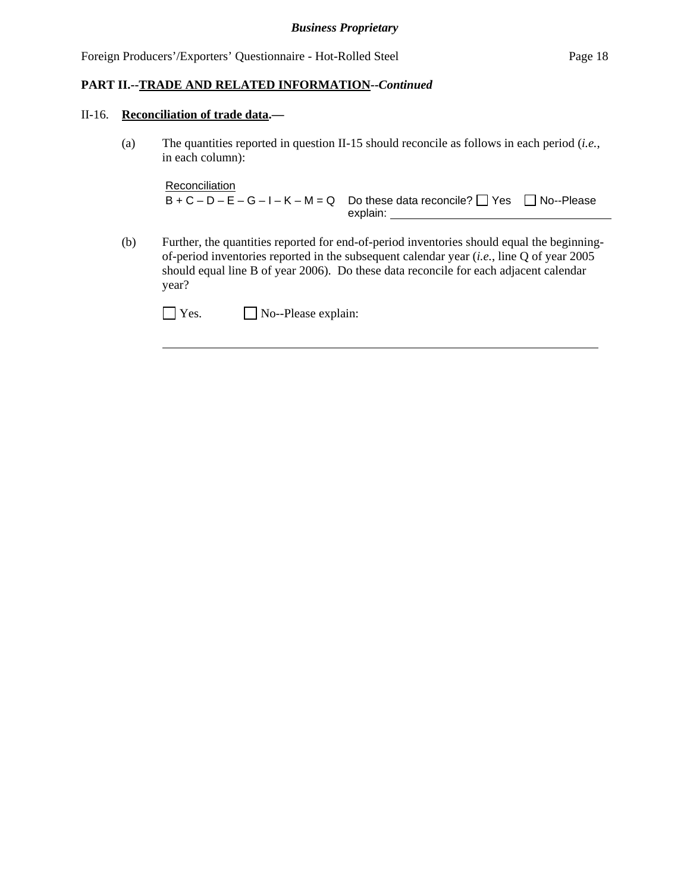### II-16. **Reconciliation of trade data.—**

 $\overline{a}$ 

(a) The quantities reported in question II-15 should reconcile as follows in each period (*i.e.*, in each column):

```
Reconciliation
B + C - D - E - G - I - K - M = Q Do these data reconcile? \Box Yes \Box No--Please
                                  explain:
```
(b) Further, the quantities reported for end-of-period inventories should equal the beginningof-period inventories reported in the subsequent calendar year (*i.e.*, line Q of year 2005 should equal line B of year 2006). Do these data reconcile for each adjacent calendar year?

| $\Box$ Yes. | $\Box$ No--Please explain: |
|-------------|----------------------------|
|-------------|----------------------------|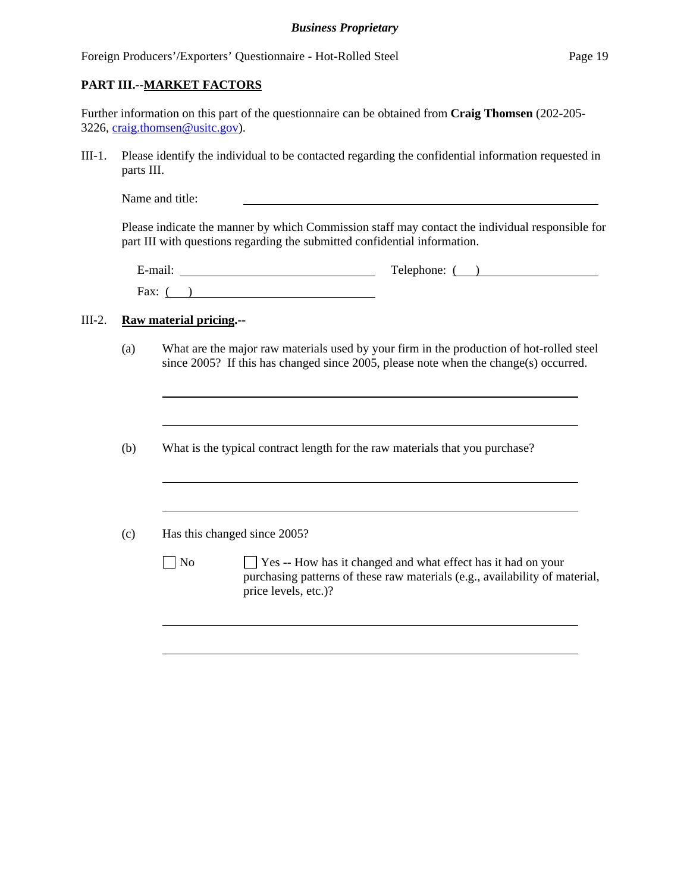### **PART III.--MARKET FACTORS**

Further information on this part of the questionnaire can be obtained from **Craig Thomsen** (202-205- 3226, craig.thomsen@usitc.gov).

III-1. Please identify the individual to be contacted regarding the confidential information requested in parts III.

Name and title:

Please indicate the manner by which Commission staff may contact the individual responsible for part III with questions regarding the submitted confidential information.

| $\cdot$ $\cdot$<br>E-mail. | Telephone: |
|----------------------------|------------|
| Fax:                       |            |

### III-2. **Raw material pricing.--**

- (a) What are the major raw materials used by your firm in the production of hot-rolled steel since 2005? If this has changed since 2005, please note when the change(s) occurred.
- (b) What is the typical contract length for the raw materials that you purchase?

| Has this changed since 2005?<br>(c) |
|-------------------------------------|
|-------------------------------------|

No Section Yes -- How has it changed and what effect has it had on your purchasing patterns of these raw materials (e.g., availability of material, price levels, etc.)?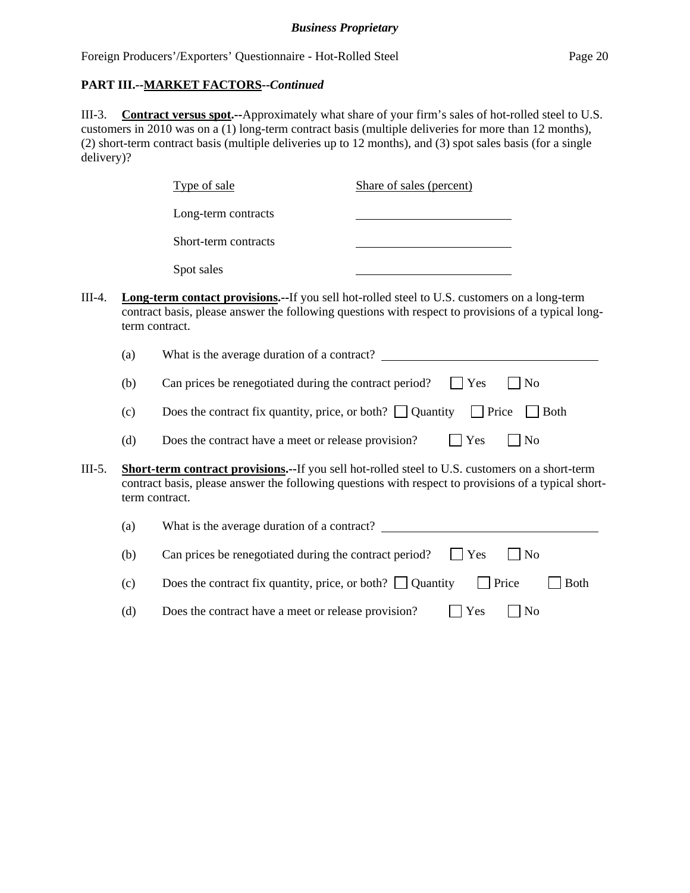III-3. **Contract versus spot.--**Approximately what share of your firm's sales of hot-rolled steel to U.S. customers in 2010 was on a (1) long-term contract basis (multiple deliveries for more than 12 months), (2) short-term contract basis (multiple deliveries up to 12 months), and (3) spot sales basis (for a single delivery)?

|        |     | Type of sale                                                                                                                                                                                                                     | Share of sales (percent) |              |                |  |
|--------|-----|----------------------------------------------------------------------------------------------------------------------------------------------------------------------------------------------------------------------------------|--------------------------|--------------|----------------|--|
|        |     | Long-term contracts                                                                                                                                                                                                              |                          |              |                |  |
|        |     | Short-term contracts                                                                                                                                                                                                             |                          |              |                |  |
|        |     | Spot sales                                                                                                                                                                                                                       |                          |              |                |  |
| III-4. |     | Long-term contact provisions.--If you sell hot-rolled steel to U.S. customers on a long-term<br>contract basis, please answer the following questions with respect to provisions of a typical long-<br>term contract.            |                          |              |                |  |
|        | (a) | What is the average duration of a contract?                                                                                                                                                                                      |                          |              |                |  |
|        | (b) | Can prices be renegotiated during the contract period?                                                                                                                                                                           |                          | Yes          | No             |  |
|        | (c) | Does the contract fix quantity, price, or both? $\Box$ Quantity                                                                                                                                                                  |                          | $\Box$ Price | <b>Both</b>    |  |
|        | (d) | Does the contract have a meet or release provision?                                                                                                                                                                              |                          | Yes          | No             |  |
| III-5. |     | <b>Short-term contract provisions.--If you sell hot-rolled steel to U.S. customers on a short-term</b><br>contract basis, please answer the following questions with respect to provisions of a typical short-<br>term contract. |                          |              |                |  |
|        | (a) | What is the average duration of a contract?                                                                                                                                                                                      |                          |              |                |  |
|        | (b) | Can prices be renegotiated during the contract period?                                                                                                                                                                           |                          | Yes          | No             |  |
|        | (c) | Does the contract fix quantity, price, or both? $\Box$ Quantity                                                                                                                                                                  |                          | Price        | <b>Both</b>    |  |
|        | (d) | Does the contract have a meet or release provision?                                                                                                                                                                              |                          | Yes          | N <sub>o</sub> |  |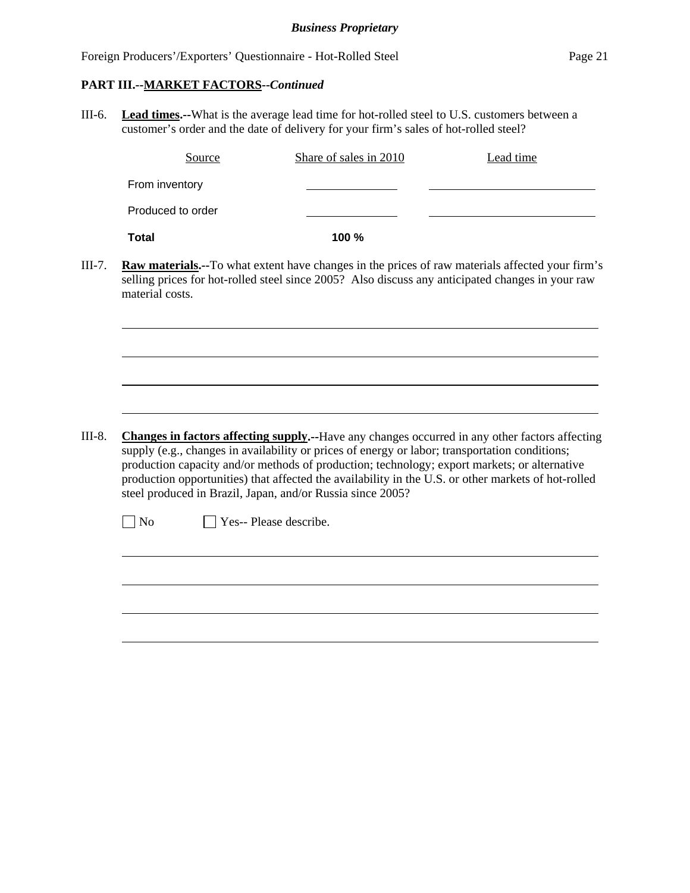$\overline{a}$ 

 $\overline{a}$ 

III-6. **Lead times.--**What is the average lead time for hot-rolled steel to U.S. customers between a customer's order and the date of delivery for your firm's sales of hot-rolled steel?

|                   | Source | Share of sales in 2010 | Lead time |
|-------------------|--------|------------------------|-----------|
| From inventory    |        |                        |           |
| Produced to order |        |                        |           |
| Total             |        | 100%                   |           |

III-7. **Raw materials.--**To what extent have changes in the prices of raw materials affected your firm's selling prices for hot-rolled steel since 2005? Also discuss any anticipated changes in your raw material costs.

III-8. **Changes in factors affecting supply.--**Have any changes occurred in any other factors affecting supply (e.g., changes in availability or prices of energy or labor; transportation conditions; production capacity and/or methods of production; technology; export markets; or alternative production opportunities) that affected the availability in the U.S. or other markets of hot-rolled steel produced in Brazil, Japan, and/or Russia since 2005?

No **Yes-- Please describe.**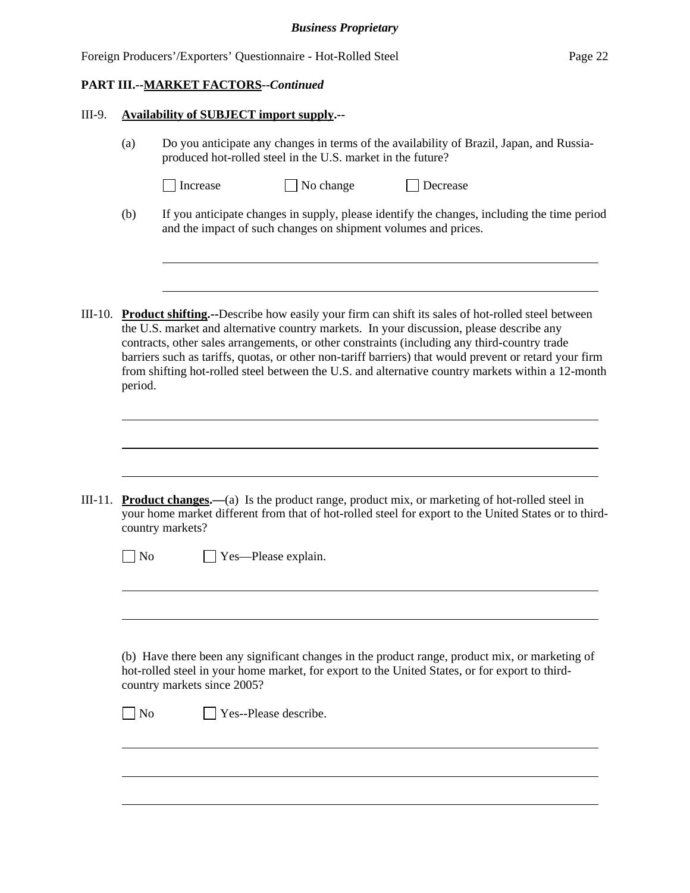| Foreign Producers'/Exporters' Questionnaire - Hot-Rolled Steel<br>Page 22 |
|---------------------------------------------------------------------------|
|---------------------------------------------------------------------------|

l

 $\overline{a}$ 

 $\overline{a}$ 

#### III-9. **Availability of SUBJECT import supply.--**

- (a) Do you anticipate any changes in terms of the availability of Brazil, Japan, and Russiaproduced hot-rolled steel in the U.S. market in the future?
	- Increase No change Decrease
		-
- (b) If you anticipate changes in supply, please identify the changes, including the time period and the impact of such changes on shipment volumes and prices.
- III-10. **Product shifting.--**Describe how easily your firm can shift its sales of hot-rolled steel between the U.S. market and alternative country markets. In your discussion, please describe any contracts, other sales arrangements, or other constraints (including any third-country trade barriers such as tariffs, quotas, or other non-tariff barriers) that would prevent or retard your firm from shifting hot-rolled steel between the U.S. and alternative country markets within a 12-month period.

III-11. **Product changes.—**(a) Is the product range, product mix, or marketing of hot-rolled steel in your home market different from that of hot-rolled steel for export to the United States or to thirdcountry markets?

| $\Box$ No | $\Box$ Yes—Please explain. |
|-----------|----------------------------|
|-----------|----------------------------|

 (b) Have there been any significant changes in the product range, product mix, or marketing of hot-rolled steel in your home market, for export to the United States, or for export to thirdcountry markets since 2005?

No **Yes--Please describe.**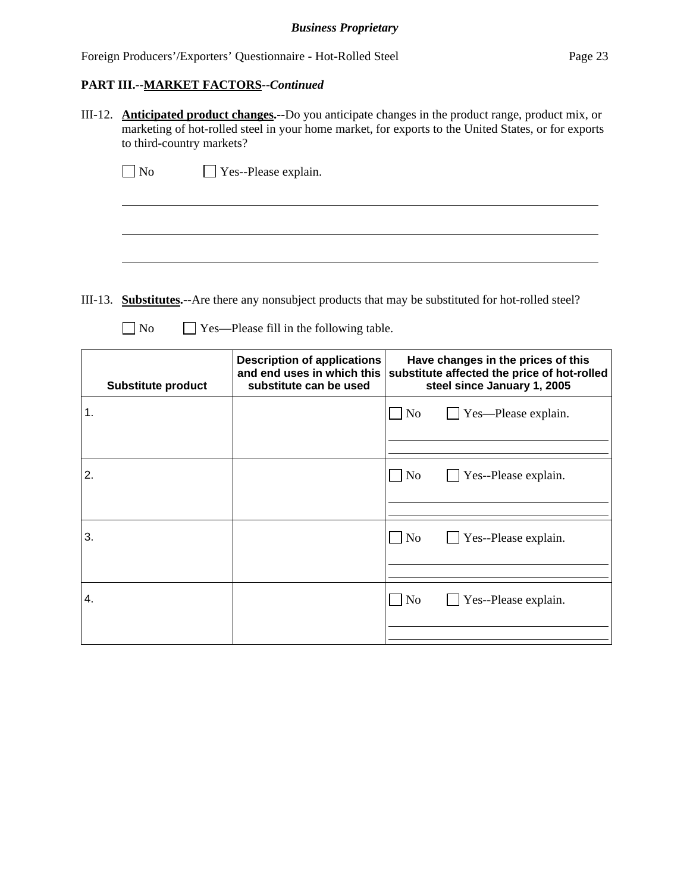$\overline{a}$ 

III-12. **Anticipated product changes.--**Do you anticipate changes in the product range, product mix, or marketing of hot-rolled steel in your home market, for exports to the United States, or for exports to third-country markets?

| $\Box$ No | $\Box$ Yes--Please explain. |
|-----------|-----------------------------|
|-----------|-----------------------------|

III-13. **Substitutes.--**Are there any nonsubject products that may be substituted for hot-rolled steel?

No Yes—Please fill in the following table.

|    | <b>Substitute product</b> | <b>Description of applications</b><br>and end uses in which this<br>substitute can be used | Have changes in the prices of this<br>substitute affected the price of hot-rolled<br>steel since January 1, 2005 |
|----|---------------------------|--------------------------------------------------------------------------------------------|------------------------------------------------------------------------------------------------------------------|
| 1. |                           |                                                                                            | $\Box$ Yes—Please explain.<br>$\Box$ No                                                                          |
| 2. |                           |                                                                                            | N <sub>0</sub><br>$\Box$ Yes--Please explain.                                                                    |
| 3. |                           |                                                                                            | $\overline{N}$<br>$\blacksquare$ Yes--Please explain.                                                            |
| 4. |                           |                                                                                            | N <sub>0</sub><br>$\blacksquare$ Yes--Please explain.                                                            |
|    |                           |                                                                                            |                                                                                                                  |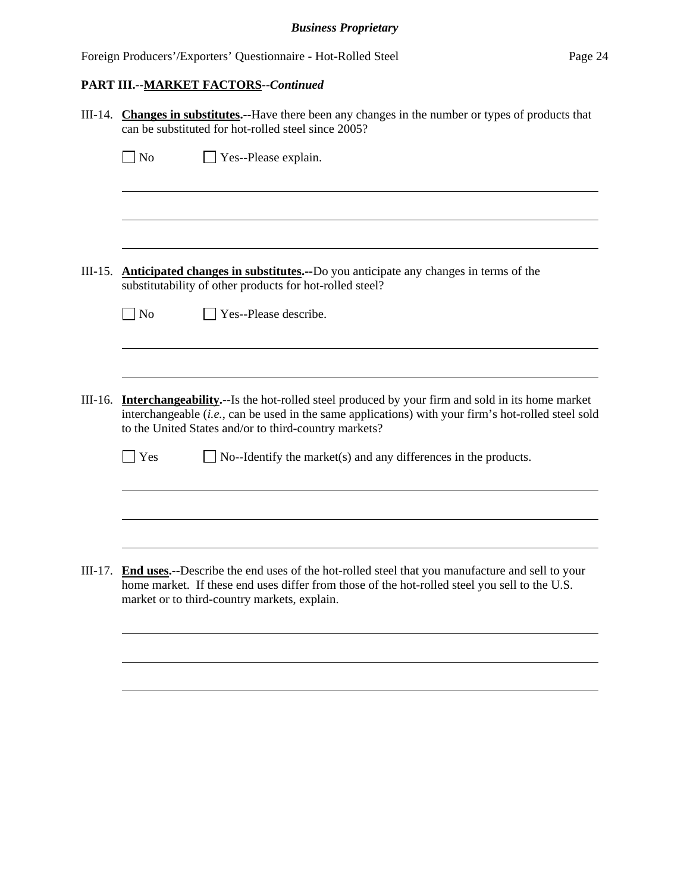|           |           | III-14. Changes in substitutes.--Have there been any changes in the number or types of products that<br>can be substituted for hot-rolled steel since 2005?                                                                                                                    |
|-----------|-----------|--------------------------------------------------------------------------------------------------------------------------------------------------------------------------------------------------------------------------------------------------------------------------------|
|           | $\n  o$   | Yes--Please explain.                                                                                                                                                                                                                                                           |
|           |           |                                                                                                                                                                                                                                                                                |
|           |           |                                                                                                                                                                                                                                                                                |
|           |           |                                                                                                                                                                                                                                                                                |
| $III-15.$ |           | <b>Anticipated changes in substitutes.</b> --Do you anticipate any changes in terms of the<br>substitutability of other products for hot-rolled steel?                                                                                                                         |
|           | $\neg$ No | Yes--Please describe.                                                                                                                                                                                                                                                          |
|           |           |                                                                                                                                                                                                                                                                                |
|           |           |                                                                                                                                                                                                                                                                                |
|           |           | III-16. <b>Interchangeability.</b> --Is the hot-rolled steel produced by your firm and sold in its home market<br>interchangeable (i.e., can be used in the same applications) with your firm's hot-rolled steel sold<br>to the United States and/or to third-country markets? |
|           | Yes       | No--Identify the market(s) and any differences in the products.                                                                                                                                                                                                                |
|           |           |                                                                                                                                                                                                                                                                                |
|           |           |                                                                                                                                                                                                                                                                                |
|           |           | III-17. End uses.--Describe the end uses of the hot-rolled steel that you manufacture and sell to your<br>home market. If these end uses differ from those of the hot-rolled steel you sell to the U.S.<br>market or to third-country markets, explain.                        |
|           |           |                                                                                                                                                                                                                                                                                |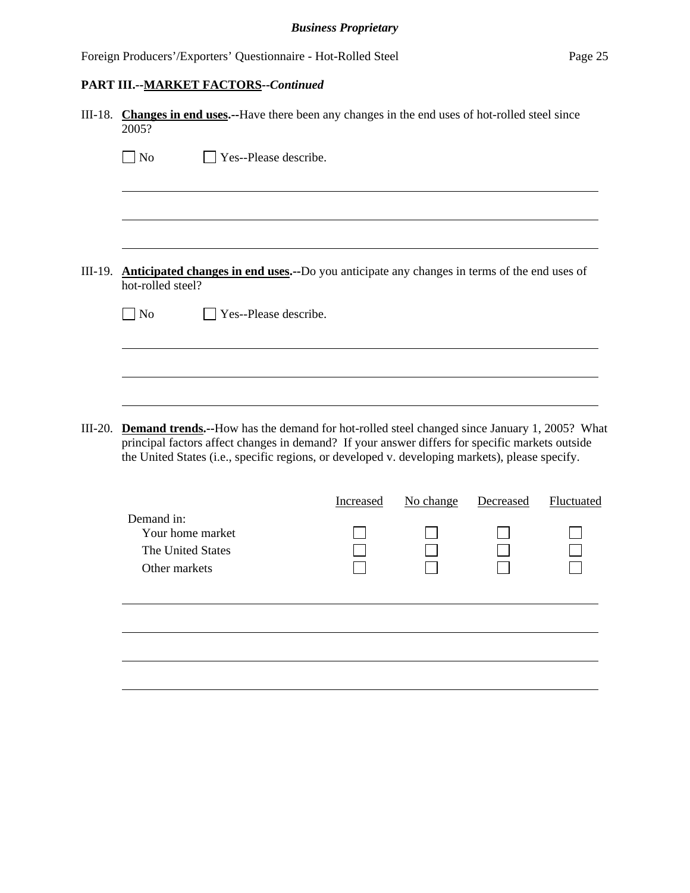|           | III-18. Changes in end uses.--Have there been any changes in the end uses of hot-rolled steel since<br>2005?                                                                                                                                                                                              |
|-----------|-----------------------------------------------------------------------------------------------------------------------------------------------------------------------------------------------------------------------------------------------------------------------------------------------------------|
|           | $\Box$ No<br>Yes--Please describe.                                                                                                                                                                                                                                                                        |
|           |                                                                                                                                                                                                                                                                                                           |
|           |                                                                                                                                                                                                                                                                                                           |
| $III-19.$ | Anticipated changes in end uses.--Do you anticipate any changes in terms of the end uses of<br>hot-rolled steel?                                                                                                                                                                                          |
|           | Yes--Please describe.<br>$\Box$ No                                                                                                                                                                                                                                                                        |
|           |                                                                                                                                                                                                                                                                                                           |
|           |                                                                                                                                                                                                                                                                                                           |
| III-20.   | <b>Demand trends.</b> --How has the demand for hot-rolled steel changed since January 1, 2005? What<br>principal factors affect changes in demand? If your answer differs for specific markets outside<br>the United States (i.e., specific regions, or developed v. developing markets), please specify. |
|           | No change<br>Fluctuated<br>Decreased<br>Increased                                                                                                                                                                                                                                                         |

|                                                                      | Increased | No change | Decreased | Fluctuated |
|----------------------------------------------------------------------|-----------|-----------|-----------|------------|
| Demand in:<br>Your home market<br>The United States<br>Other markets |           |           |           |            |
|                                                                      |           |           |           |            |
|                                                                      |           |           |           |            |